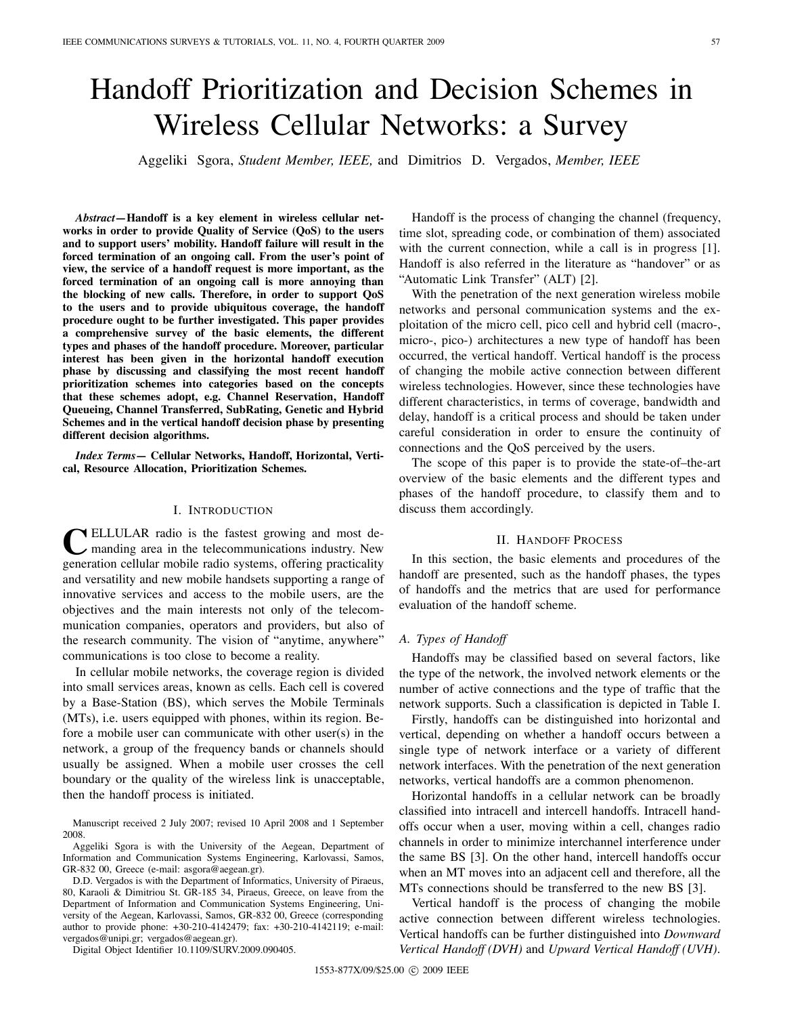# Handoff Prioritization and Decision Schemes in Wireless Cellular Networks: a Survey

Aggeliki Sgora, *Student Member, IEEE,* and Dimitrios D. Vergados, *Member, IEEE*

*Abstract***—Handoff is a key element in wireless cellular networks in order to provide Quality of Service (QoS) to the users and to support users' mobility. Handoff failure will result in the forced termination of an ongoing call. From the user's point of view, the service of a handoff request is more important, as the forced termination of an ongoing call is more annoying than the blocking of new calls. Therefore, in order to support QoS to the users and to provide ubiquitous coverage, the handoff procedure ought to be further investigated. This paper provides a comprehensive survey of the basic elements, the different types and phases of the handoff procedure. Moreover, particular interest has been given in the horizontal handoff execution phase by discussing and classifying the most recent handoff prioritization schemes into categories based on the concepts that these schemes adopt, e.g. Channel Reservation, Handoff Queueing, Channel Transferred, SubRating, Genetic and Hybrid Schemes and in the vertical handoff decision phase by presenting different decision algorithms.**

*Index Terms***— Cellular Networks, Handoff, Horizontal, Vertical, Resource Allocation, Prioritization Schemes.**

## I. INTRODUCTION

**C**ELLULAR radio is the fastest growing and most de-<br>manding area in the telecommunications industry. New generation cellular mobile radio systems, offering practicality and versatility and new mobile handsets supporting a range of innovative services and access to the mobile users, are the objectives and the main interests not only of the telecommunication companies, operators and providers, but also of the research community. The vision of "anytime, anywhere" communications is too close to become a reality.

In cellular mobile networks, the coverage region is divided into small services areas, known as cells. Each cell is covered by a Base-Station (BS), which serves the Mobile Terminals (MTs), i.e. users equipped with phones, within its region. Before a mobile user can communicate with other user(s) in the network, a group of the frequency bands or channels should usually be assigned. When a mobile user crosses the cell boundary or the quality of the wireless link is unacceptable, then the handoff process is initiated.

Manuscript received 2 July 2007; revised 10 April 2008 and 1 September 2008.

Aggeliki Sgora is with the University of the Aegean, Department of Information and Communication Systems Engineering, Karlovassi, Samos, GR-832 00, Greece (e-mail: asgora@aegean.gr).

D.D. Vergados is with the Department of Informatics, University of Piraeus, 80, Karaoli & Dimitriou St. GR-185 34, Piraeus, Greece, on leave from the Department of Information and Communication Systems Engineering, University of the Aegean, Karlovassi, Samos, GR-832 00, Greece (corresponding author to provide phone: +30-210-4142479; fax: +30-210-4142119; e-mail: vergados@unipi.gr; vergados@aegean.gr).

Digital Object Identifier 10.1109/SURV.2009.090405.

Handoff is the process of changing the channel (frequency, time slot, spreading code, or combination of them) associated with the current connection, while a call is in progress [1]. Handoff is also referred in the literature as "handover" or as "Automatic Link Transfer" (ALT) [2].

With the penetration of the next generation wireless mobile networks and personal communication systems and the exploitation of the micro cell, pico cell and hybrid cell (macro-, micro-, pico-) architectures a new type of handoff has been occurred, the vertical handoff. Vertical handoff is the process of changing the mobile active connection between different wireless technologies. However, since these technologies have different characteristics, in terms of coverage, bandwidth and delay, handoff is a critical process and should be taken under careful consideration in order to ensure the continuity of connections and the QoS perceived by the users.

The scope of this paper is to provide the state-of–the-art overview of the basic elements and the different types and phases of the handoff procedure, to classify them and to discuss them accordingly.

## II. HANDOFF PROCESS

In this section, the basic elements and procedures of the handoff are presented, such as the handoff phases, the types of handoffs and the metrics that are used for performance evaluation of the handoff scheme.

#### *A. Types of Handoff*

Handoffs may be classified based on several factors, like the type of the network, the involved network elements or the number of active connections and the type of traffic that the network supports. Such a classification is depicted in Table I.

Firstly, handoffs can be distinguished into horizontal and vertical, depending on whether a handoff occurs between a single type of network interface or a variety of different network interfaces. With the penetration of the next generation networks, vertical handoffs are a common phenomenon.

Horizontal handoffs in a cellular network can be broadly classified into intracell and intercell handoffs. Intracell handoffs occur when a user, moving within a cell, changes radio channels in order to minimize interchannel interference under the same BS [3]. On the other hand, intercell handoffs occur when an MT moves into an adjacent cell and therefore, all the MTs connections should be transferred to the new BS [3].

Vertical handoff is the process of changing the mobile active connection between different wireless technologies. Vertical handoffs can be further distinguished into *Downward Vertical Handoff (DVH)* and *Upward Vertical Handoff (UVH)*.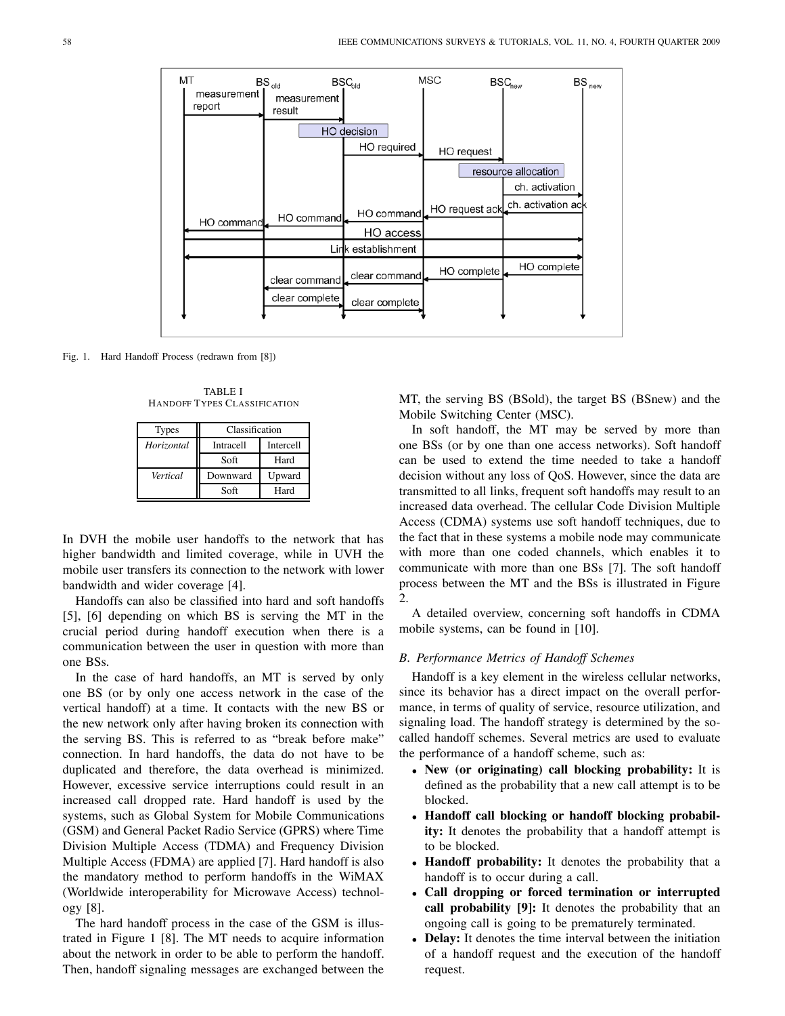

Fig. 1. Hard Handoff Process (redrawn from [8])

TABLE I HANDOFF TYPES CLASSIFICATION

| <b>Types</b> | Classification |                  |  |
|--------------|----------------|------------------|--|
| Horizontal   | Intracell      | <b>Intercell</b> |  |
|              | Soft           | Hard             |  |
| Vertical     | Downward       | Upward           |  |
|              | Soft           | Hard             |  |

In DVH the mobile user handoffs to the network that has higher bandwidth and limited coverage, while in UVH the mobile user transfers its connection to the network with lower bandwidth and wider coverage [4].

Handoffs can also be classified into hard and soft handoffs [5], [6] depending on which BS is serving the MT in the crucial period during handoff execution when there is a communication between the user in question with more than one BSs.

In the case of hard handoffs, an MT is served by only one BS (or by only one access network in the case of the vertical handoff) at a time. It contacts with the new BS or the new network only after having broken its connection with the serving BS. This is referred to as "break before make" connection. In hard handoffs, the data do not have to be duplicated and therefore, the data overhead is minimized. However, excessive service interruptions could result in an increased call dropped rate. Hard handoff is used by the systems, such as Global System for Mobile Communications (GSM) and General Packet Radio Service (GPRS) where Time Division Multiple Access (TDMA) and Frequency Division Multiple Access (FDMA) are applied [7]. Hard handoff is also the mandatory method to perform handoffs in the WiMAX (Worldwide interoperability for Microwave Access) technology [8].

The hard handoff process in the case of the GSM is illustrated in Figure 1 [8]. The MT needs to acquire information about the network in order to be able to perform the handoff. Then, handoff signaling messages are exchanged between the MT, the serving BS (BSold), the target BS (BSnew) and the Mobile Switching Center (MSC).

In soft handoff, the MT may be served by more than one BSs (or by one than one access networks). Soft handoff can be used to extend the time needed to take a handoff decision without any loss of QoS. However, since the data are transmitted to all links, frequent soft handoffs may result to an increased data overhead. The cellular Code Division Multiple Access (CDMA) systems use soft handoff techniques, due to the fact that in these systems a mobile node may communicate with more than one coded channels, which enables it to communicate with more than one BSs [7]. The soft handoff process between the MT and the BSs is illustrated in Figure 2.

A detailed overview, concerning soft handoffs in CDMA mobile systems, can be found in [10].

## *B. Performance Metrics of Handoff Schemes*

Handoff is a key element in the wireless cellular networks, since its behavior has a direct impact on the overall performance, in terms of quality of service, resource utilization, and signaling load. The handoff strategy is determined by the socalled handoff schemes. Several metrics are used to evaluate the performance of a handoff scheme, such as:

- *•* **New (or originating) call blocking probability:** It is defined as the probability that a new call attempt is to be blocked.
- *•* **Handoff call blocking or handoff blocking probability:** It denotes the probability that a handoff attempt is to be blocked.
- *•* **Handoff probability:** It denotes the probability that a handoff is to occur during a call.
- *•* **Call dropping or forced termination or interrupted call probability [9]:** It denotes the probability that an ongoing call is going to be prematurely terminated.
- *•* **Delay:** It denotes the time interval between the initiation of a handoff request and the execution of the handoff request.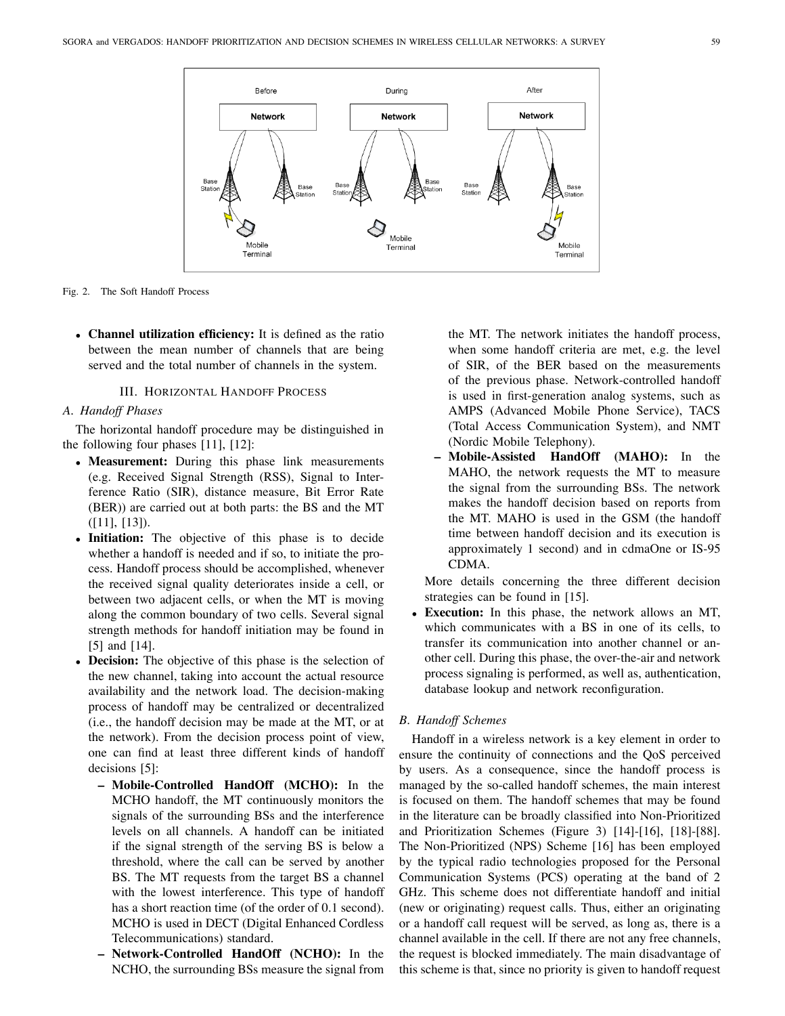

Fig. 2. The Soft Handoff Process

*•* **Channel utilization efficiency:** It is defined as the ratio between the mean number of channels that are being served and the total number of channels in the system.

#### III. HORIZONTAL HANDOFF PROCESS

## *A. Handoff Phases*

The horizontal handoff procedure may be distinguished in the following four phases [11], [12]:

- *•* **Measurement:** During this phase link measurements (e.g. Received Signal Strength (RSS), Signal to Interference Ratio (SIR), distance measure, Bit Error Rate (BER)) are carried out at both parts: the BS and the MT ([11], [13]).
- *•* **Initiation:** The objective of this phase is to decide whether a handoff is needed and if so, to initiate the process. Handoff process should be accomplished, whenever the received signal quality deteriorates inside a cell, or between two adjacent cells, or when the MT is moving along the common boundary of two cells. Several signal strength methods for handoff initiation may be found in [5] and [14].
- *•* **Decision:** The objective of this phase is the selection of the new channel, taking into account the actual resource availability and the network load. The decision-making process of handoff may be centralized or decentralized (i.e., the handoff decision may be made at the MT, or at the network). From the decision process point of view, one can find at least three different kinds of handoff decisions [5]:
	- **Mobile-Controlled HandOff (MCHO):** In the MCHO handoff, the MT continuously monitors the signals of the surrounding BSs and the interference levels on all channels. A handoff can be initiated if the signal strength of the serving BS is below a threshold, where the call can be served by another BS. The MT requests from the target BS a channel with the lowest interference. This type of handoff has a short reaction time (of the order of 0.1 second). MCHO is used in DECT (Digital Enhanced Cordless Telecommunications) standard.
	- **Network-Controlled HandOff (NCHO):** In the NCHO, the surrounding BSs measure the signal from

the MT. The network initiates the handoff process, when some handoff criteria are met, e.g. the level of SIR, of the BER based on the measurements of the previous phase. Network-controlled handoff is used in first-generation analog systems, such as AMPS (Advanced Mobile Phone Service), TACS (Total Access Communication System), and NMT (Nordic Mobile Telephony).

**– Mobile-Assisted HandOff (MAHO):** In the MAHO, the network requests the MT to measure the signal from the surrounding BSs. The network makes the handoff decision based on reports from the MT. MAHO is used in the GSM (the handoff time between handoff decision and its execution is approximately 1 second) and in cdmaOne or IS-95 CDMA.

More details concerning the three different decision strategies can be found in [15].

*•* **Execution:** In this phase, the network allows an MT, which communicates with a BS in one of its cells, to transfer its communication into another channel or another cell. During this phase, the over-the-air and network process signaling is performed, as well as, authentication, database lookup and network reconfiguration.

#### *B. Handoff Schemes*

Handoff in a wireless network is a key element in order to ensure the continuity of connections and the QoS perceived by users. As a consequence, since the handoff process is managed by the so-called handoff schemes, the main interest is focused on them. The handoff schemes that may be found in the literature can be broadly classified into Non-Prioritized and Prioritization Schemes (Figure 3) [14]-[16], [18]-[88]. The Non-Prioritized (NPS) Scheme [16] has been employed by the typical radio technologies proposed for the Personal Communication Systems (PCS) operating at the band of 2 GHz. This scheme does not differentiate handoff and initial (new or originating) request calls. Thus, either an originating or a handoff call request will be served, as long as, there is a channel available in the cell. If there are not any free channels, the request is blocked immediately. The main disadvantage of this scheme is that, since no priority is given to handoff request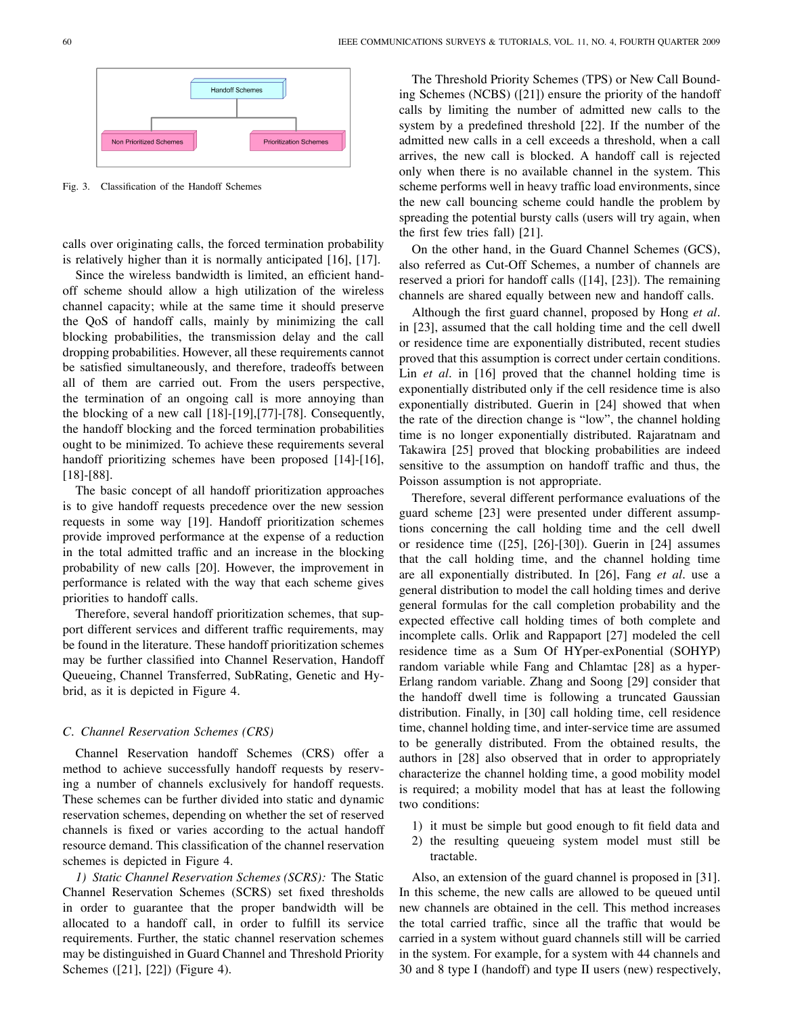

Fig. 3. Classification of the Handoff Schemes

calls over originating calls, the forced termination probability is relatively higher than it is normally anticipated [16], [17].

Since the wireless bandwidth is limited, an efficient handoff scheme should allow a high utilization of the wireless channel capacity; while at the same time it should preserve the QoS of handoff calls, mainly by minimizing the call blocking probabilities, the transmission delay and the call dropping probabilities. However, all these requirements cannot be satisfied simultaneously, and therefore, tradeoffs between all of them are carried out. From the users perspective, the termination of an ongoing call is more annoying than the blocking of a new call [18]-[19],[77]-[78]. Consequently, the handoff blocking and the forced termination probabilities ought to be minimized. To achieve these requirements several handoff prioritizing schemes have been proposed [14]-[16], [18]-[88].

The basic concept of all handoff prioritization approaches is to give handoff requests precedence over the new session requests in some way [19]. Handoff prioritization schemes provide improved performance at the expense of a reduction in the total admitted traffic and an increase in the blocking probability of new calls [20]. However, the improvement in performance is related with the way that each scheme gives priorities to handoff calls.

Therefore, several handoff prioritization schemes, that support different services and different traffic requirements, may be found in the literature. These handoff prioritization schemes may be further classified into Channel Reservation, Handoff Queueing, Channel Transferred, SubRating, Genetic and Hybrid, as it is depicted in Figure 4.

#### *C. Channel Reservation Schemes (CRS)*

Channel Reservation handoff Schemes (CRS) offer a method to achieve successfully handoff requests by reserving a number of channels exclusively for handoff requests. These schemes can be further divided into static and dynamic reservation schemes, depending on whether the set of reserved channels is fixed or varies according to the actual handoff resource demand. This classification of the channel reservation schemes is depicted in Figure 4.

*1) Static Channel Reservation Schemes (SCRS):* The Static Channel Reservation Schemes (SCRS) set fixed thresholds in order to guarantee that the proper bandwidth will be allocated to a handoff call, in order to fulfill its service requirements. Further, the static channel reservation schemes may be distinguished in Guard Channel and Threshold Priority Schemes ([21], [22]) (Figure 4).

The Threshold Priority Schemes (TPS) or New Call Bounding Schemes (NCBS) ([21]) ensure the priority of the handoff calls by limiting the number of admitted new calls to the system by a predefined threshold [22]. If the number of the admitted new calls in a cell exceeds a threshold, when a call arrives, the new call is blocked. A handoff call is rejected only when there is no available channel in the system. This scheme performs well in heavy traffic load environments, since the new call bouncing scheme could handle the problem by spreading the potential bursty calls (users will try again, when the first few tries fall) [21].

On the other hand, in the Guard Channel Schemes (GCS), also referred as Cut-Off Schemes, a number of channels are reserved a priori for handoff calls ([14], [23]). The remaining channels are shared equally between new and handoff calls.

Although the first guard channel, proposed by Hong *et al.* in [23], assumed that the call holding time and the cell dwell or residence time are exponentially distributed, recent studies proved that this assumption is correct under certain conditions. Lin *et al.* in [16] proved that the channel holding time is exponentially distributed only if the cell residence time is also exponentially distributed. Guerin in [24] showed that when the rate of the direction change is "low", the channel holding time is no longer exponentially distributed. Rajaratnam and Takawira [25] proved that blocking probabilities are indeed sensitive to the assumption on handoff traffic and thus, the Poisson assumption is not appropriate.

Therefore, several different performance evaluations of the guard scheme [23] were presented under different assumptions concerning the call holding time and the cell dwell or residence time ([25], [26]-[30]). Guerin in [24] assumes that the call holding time, and the channel holding time are all exponentially distributed. In [26], Fang *et al.* use a general distribution to model the call holding times and derive general formulas for the call completion probability and the expected effective call holding times of both complete and incomplete calls. Orlik and Rappaport [27] modeled the cell residence time as a Sum Of HYper-exPonential (SOHYP) random variable while Fang and Chlamtac [28] as a hyper-Erlang random variable. Zhang and Soong [29] consider that the handoff dwell time is following a truncated Gaussian distribution. Finally, in [30] call holding time, cell residence time, channel holding time, and inter-service time are assumed to be generally distributed. From the obtained results, the authors in [28] also observed that in order to appropriately characterize the channel holding time, a good mobility model is required; a mobility model that has at least the following two conditions:

- 1) it must be simple but good enough to fit field data and
- 2) the resulting queueing system model must still be tractable.

Also, an extension of the guard channel is proposed in [31]. In this scheme, the new calls are allowed to be queued until new channels are obtained in the cell. This method increases the total carried traffic, since all the traffic that would be carried in a system without guard channels still will be carried in the system. For example, for a system with 44 channels and 30 and 8 type I (handoff) and type II users (new) respectively,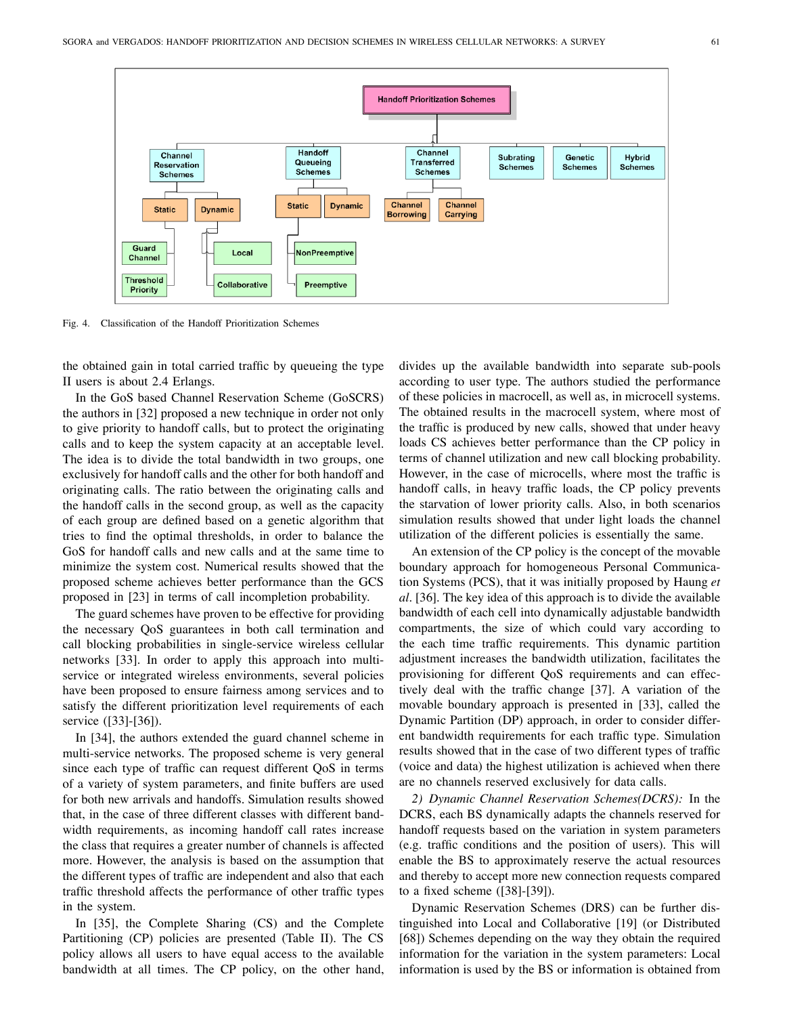

Fig. 4. Classification of the Handoff Prioritization Schemes

the obtained gain in total carried traffic by queueing the type II users is about 2.4 Erlangs.

In the GoS based Channel Reservation Scheme (GoSCRS) the authors in [32] proposed a new technique in order not only to give priority to handoff calls, but to protect the originating calls and to keep the system capacity at an acceptable level. The idea is to divide the total bandwidth in two groups, one exclusively for handoff calls and the other for both handoff and originating calls. The ratio between the originating calls and the handoff calls in the second group, as well as the capacity of each group are defined based on a genetic algorithm that tries to find the optimal thresholds, in order to balance the GoS for handoff calls and new calls and at the same time to minimize the system cost. Numerical results showed that the proposed scheme achieves better performance than the GCS proposed in [23] in terms of call incompletion probability.

The guard schemes have proven to be effective for providing the necessary QoS guarantees in both call termination and call blocking probabilities in single-service wireless cellular networks [33]. In order to apply this approach into multiservice or integrated wireless environments, several policies have been proposed to ensure fairness among services and to satisfy the different prioritization level requirements of each service ([33]-[36]).

In [34], the authors extended the guard channel scheme in multi-service networks. The proposed scheme is very general since each type of traffic can request different QoS in terms of a variety of system parameters, and finite buffers are used for both new arrivals and handoffs. Simulation results showed that, in the case of three different classes with different bandwidth requirements, as incoming handoff call rates increase the class that requires a greater number of channels is affected more. However, the analysis is based on the assumption that the different types of traffic are independent and also that each traffic threshold affects the performance of other traffic types in the system.

In [35], the Complete Sharing (CS) and the Complete Partitioning (CP) policies are presented (Table II). The CS policy allows all users to have equal access to the available bandwidth at all times. The CP policy, on the other hand, divides up the available bandwidth into separate sub-pools according to user type. The authors studied the performance of these policies in macrocell, as well as, in microcell systems. The obtained results in the macrocell system, where most of the traffic is produced by new calls, showed that under heavy loads CS achieves better performance than the CP policy in terms of channel utilization and new call blocking probability. However, in the case of microcells, where most the traffic is handoff calls, in heavy traffic loads, the CP policy prevents the starvation of lower priority calls. Also, in both scenarios simulation results showed that under light loads the channel utilization of the different policies is essentially the same.

An extension of the CP policy is the concept of the movable boundary approach for homogeneous Personal Communication Systems (PCS), that it was initially proposed by Haung *et al.* [36]. The key idea of this approach is to divide the available bandwidth of each cell into dynamically adjustable bandwidth compartments, the size of which could vary according to the each time traffic requirements. This dynamic partition adjustment increases the bandwidth utilization, facilitates the provisioning for different QoS requirements and can effectively deal with the traffic change [37]. A variation of the movable boundary approach is presented in [33], called the Dynamic Partition (DP) approach, in order to consider different bandwidth requirements for each traffic type. Simulation results showed that in the case of two different types of traffic (voice and data) the highest utilization is achieved when there are no channels reserved exclusively for data calls.

*2) Dynamic Channel Reservation Schemes(DCRS):* In the DCRS, each BS dynamically adapts the channels reserved for handoff requests based on the variation in system parameters (e.g. traffic conditions and the position of users). This will enable the BS to approximately reserve the actual resources and thereby to accept more new connection requests compared to a fixed scheme ([38]-[39]).

Dynamic Reservation Schemes (DRS) can be further distinguished into Local and Collaborative [19] (or Distributed [68]) Schemes depending on the way they obtain the required information for the variation in the system parameters: Local information is used by the BS or information is obtained from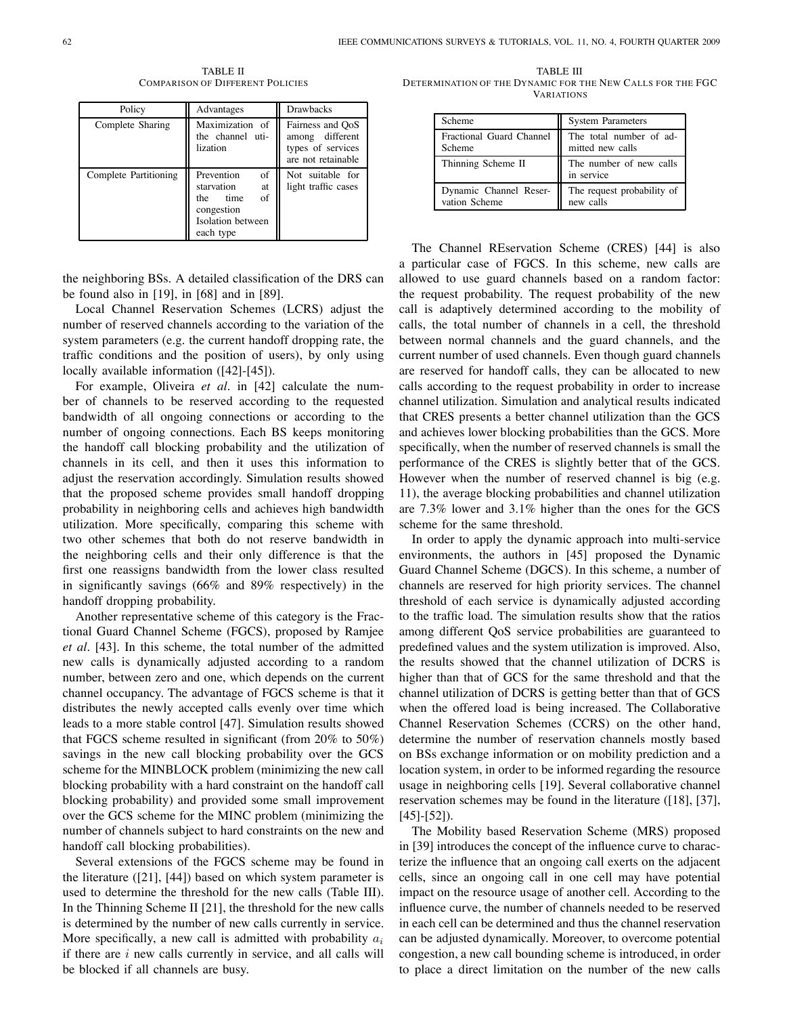TABLE II COMPARISON OF DIFFERENT POLICIES

| Policy                | Advantages                                                                                             | <b>Drawbacks</b>                                                               |
|-----------------------|--------------------------------------------------------------------------------------------------------|--------------------------------------------------------------------------------|
| Complete Sharing      | Maximization of<br>the channel uti-<br>lization                                                        | Fairness and OoS<br>among different<br>types of services<br>are not retainable |
| Complete Partitioning | Prevention<br>of<br>starvation<br>at<br>the time<br>of<br>congestion<br>Isolation between<br>each type | Not suitable for<br>light traffic cases                                        |

the neighboring BSs. A detailed classification of the DRS can be found also in [19], in [68] and in [89].

Local Channel Reservation Schemes (LCRS) adjust the number of reserved channels according to the variation of the system parameters (e.g. the current handoff dropping rate, the traffic conditions and the position of users), by only using locally available information ([42]-[45]).

For example, Oliveira *et al.* in [42] calculate the number of channels to be reserved according to the requested bandwidth of all ongoing connections or according to the number of ongoing connections. Each BS keeps monitoring the handoff call blocking probability and the utilization of channels in its cell, and then it uses this information to adjust the reservation accordingly. Simulation results showed that the proposed scheme provides small handoff dropping probability in neighboring cells and achieves high bandwidth utilization. More specifically, comparing this scheme with two other schemes that both do not reserve bandwidth in the neighboring cells and their only difference is that the first one reassigns bandwidth from the lower class resulted in significantly savings (66% and 89% respectively) in the handoff dropping probability.

Another representative scheme of this category is the Fractional Guard Channel Scheme (FGCS), proposed by Ramjee *et al.* [43]. In this scheme, the total number of the admitted new calls is dynamically adjusted according to a random number, between zero and one, which depends on the current channel occupancy. The advantage of FGCS scheme is that it distributes the newly accepted calls evenly over time which leads to a more stable control [47]. Simulation results showed that FGCS scheme resulted in significant (from 20% to 50%) savings in the new call blocking probability over the GCS scheme for the MINBLOCK problem (minimizing the new call blocking probability with a hard constraint on the handoff call blocking probability) and provided some small improvement over the GCS scheme for the MINC problem (minimizing the number of channels subject to hard constraints on the new and handoff call blocking probabilities).

Several extensions of the FGCS scheme may be found in the literature ([21], [44]) based on which system parameter is used to determine the threshold for the new calls (Table III). In the Thinning Scheme II [21], the threshold for the new calls is determined by the number of new calls currently in service. More specifically, a new call is admitted with probability a*<sup>i</sup>* if there are  $i$  new calls currently in service, and all calls will be blocked if all channels are busy.

TABLE III DETERMINATION OF THE DYNAMIC FOR THE NEW CALLS FOR THE FGC VARIATIONS

| Scheme                                  | <b>System Parameters</b>                    |
|-----------------------------------------|---------------------------------------------|
| Fractional Guard Channel<br>Scheme      | The total number of ad-<br>mitted new calls |
| Thinning Scheme II                      | The number of new calls<br>in service       |
| Dynamic Channel Reser-<br>vation Scheme | The request probability of<br>new calls     |

The Channel REservation Scheme (CRES) [44] is also a particular case of FGCS. In this scheme, new calls are allowed to use guard channels based on a random factor: the request probability. The request probability of the new call is adaptively determined according to the mobility of calls, the total number of channels in a cell, the threshold between normal channels and the guard channels, and the current number of used channels. Even though guard channels are reserved for handoff calls, they can be allocated to new calls according to the request probability in order to increase channel utilization. Simulation and analytical results indicated that CRES presents a better channel utilization than the GCS and achieves lower blocking probabilities than the GCS. More specifically, when the number of reserved channels is small the performance of the CRES is slightly better that of the GCS. However when the number of reserved channel is big (e.g. 11), the average blocking probabilities and channel utilization are 7.3% lower and 3.1% higher than the ones for the GCS scheme for the same threshold.

In order to apply the dynamic approach into multi-service environments, the authors in [45] proposed the Dynamic Guard Channel Scheme (DGCS). In this scheme, a number of channels are reserved for high priority services. The channel threshold of each service is dynamically adjusted according to the traffic load. The simulation results show that the ratios among different QoS service probabilities are guaranteed to predefined values and the system utilization is improved. Also, the results showed that the channel utilization of DCRS is higher than that of GCS for the same threshold and that the channel utilization of DCRS is getting better than that of GCS when the offered load is being increased. The Collaborative Channel Reservation Schemes (CCRS) on the other hand, determine the number of reservation channels mostly based on BSs exchange information or on mobility prediction and a location system, in order to be informed regarding the resource usage in neighboring cells [19]. Several collaborative channel reservation schemes may be found in the literature ([18], [37], [45]-[52]).

The Mobility based Reservation Scheme (MRS) proposed in [39] introduces the concept of the influence curve to characterize the influence that an ongoing call exerts on the adjacent cells, since an ongoing call in one cell may have potential impact on the resource usage of another cell. According to the influence curve, the number of channels needed to be reserved in each cell can be determined and thus the channel reservation can be adjusted dynamically. Moreover, to overcome potential congestion, a new call bounding scheme is introduced, in order to place a direct limitation on the number of the new calls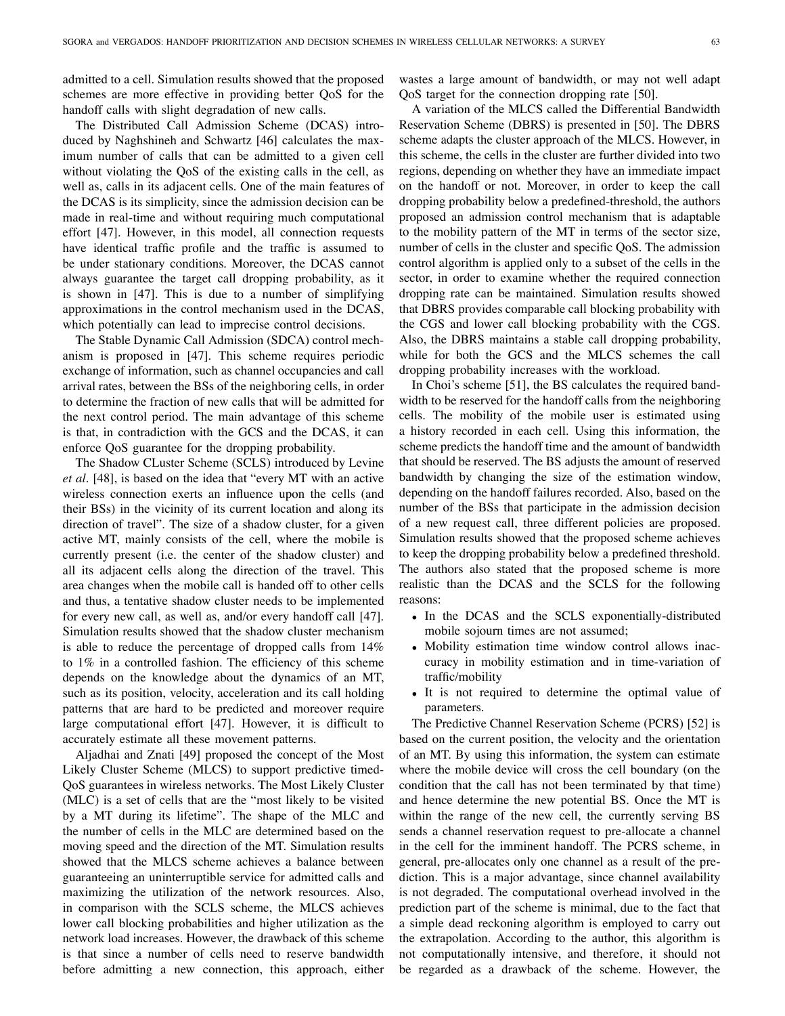admitted to a cell. Simulation results showed that the proposed schemes are more effective in providing better QoS for the handoff calls with slight degradation of new calls.

The Distributed Call Admission Scheme (DCAS) introduced by Naghshineh and Schwartz [46] calculates the maximum number of calls that can be admitted to a given cell without violating the QoS of the existing calls in the cell, as well as, calls in its adjacent cells. One of the main features of the DCAS is its simplicity, since the admission decision can be made in real-time and without requiring much computational effort [47]. However, in this model, all connection requests have identical traffic profile and the traffic is assumed to be under stationary conditions. Moreover, the DCAS cannot always guarantee the target call dropping probability, as it is shown in [47]. This is due to a number of simplifying approximations in the control mechanism used in the DCAS, which potentially can lead to imprecise control decisions.

The Stable Dynamic Call Admission (SDCA) control mechanism is proposed in [47]. This scheme requires periodic exchange of information, such as channel occupancies and call arrival rates, between the BSs of the neighboring cells, in order to determine the fraction of new calls that will be admitted for the next control period. The main advantage of this scheme is that, in contradiction with the GCS and the DCAS, it can enforce QoS guarantee for the dropping probability.

The Shadow CLuster Scheme (SCLS) introduced by Levine *et al.* [48], is based on the idea that "every MT with an active wireless connection exerts an influence upon the cells (and their BSs) in the vicinity of its current location and along its direction of travel". The size of a shadow cluster, for a given active MT, mainly consists of the cell, where the mobile is currently present (i.e. the center of the shadow cluster) and all its adjacent cells along the direction of the travel. This area changes when the mobile call is handed off to other cells and thus, a tentative shadow cluster needs to be implemented for every new call, as well as, and/or every handoff call [47]. Simulation results showed that the shadow cluster mechanism is able to reduce the percentage of dropped calls from 14% to 1% in a controlled fashion. The efficiency of this scheme depends on the knowledge about the dynamics of an MT, such as its position, velocity, acceleration and its call holding patterns that are hard to be predicted and moreover require large computational effort [47]. However, it is difficult to accurately estimate all these movement patterns.

Aljadhai and Znati [49] proposed the concept of the Most Likely Cluster Scheme (MLCS) to support predictive timed-QoS guarantees in wireless networks. The Most Likely Cluster (MLC) is a set of cells that are the "most likely to be visited by a MT during its lifetime". The shape of the MLC and the number of cells in the MLC are determined based on the moving speed and the direction of the MT. Simulation results showed that the MLCS scheme achieves a balance between guaranteeing an uninterruptible service for admitted calls and maximizing the utilization of the network resources. Also, in comparison with the SCLS scheme, the MLCS achieves lower call blocking probabilities and higher utilization as the network load increases. However, the drawback of this scheme is that since a number of cells need to reserve bandwidth before admitting a new connection, this approach, either wastes a large amount of bandwidth, or may not well adapt QoS target for the connection dropping rate [50].

A variation of the MLCS called the Differential Bandwidth Reservation Scheme (DBRS) is presented in [50]. The DBRS scheme adapts the cluster approach of the MLCS. However, in this scheme, the cells in the cluster are further divided into two regions, depending on whether they have an immediate impact on the handoff or not. Moreover, in order to keep the call dropping probability below a predefined-threshold, the authors proposed an admission control mechanism that is adaptable to the mobility pattern of the MT in terms of the sector size, number of cells in the cluster and specific QoS. The admission control algorithm is applied only to a subset of the cells in the sector, in order to examine whether the required connection dropping rate can be maintained. Simulation results showed that DBRS provides comparable call blocking probability with the CGS and lower call blocking probability with the CGS. Also, the DBRS maintains a stable call dropping probability, while for both the GCS and the MLCS schemes the call dropping probability increases with the workload.

In Choi's scheme [51], the BS calculates the required bandwidth to be reserved for the handoff calls from the neighboring cells. The mobility of the mobile user is estimated using a history recorded in each cell. Using this information, the scheme predicts the handoff time and the amount of bandwidth that should be reserved. The BS adjusts the amount of reserved bandwidth by changing the size of the estimation window, depending on the handoff failures recorded. Also, based on the number of the BSs that participate in the admission decision of a new request call, three different policies are proposed. Simulation results showed that the proposed scheme achieves to keep the dropping probability below a predefined threshold. The authors also stated that the proposed scheme is more realistic than the DCAS and the SCLS for the following reasons:

- In the DCAS and the SCLS exponentially-distributed mobile sojourn times are not assumed;
- Mobility estimation time window control allows inaccuracy in mobility estimation and in time-variation of traffic/mobility
- *•* It is not required to determine the optimal value of parameters.

The Predictive Channel Reservation Scheme (PCRS) [52] is based on the current position, the velocity and the orientation of an MT. By using this information, the system can estimate where the mobile device will cross the cell boundary (on the condition that the call has not been terminated by that time) and hence determine the new potential BS. Once the MT is within the range of the new cell, the currently serving BS sends a channel reservation request to pre-allocate a channel in the cell for the imminent handoff. The PCRS scheme, in general, pre-allocates only one channel as a result of the prediction. This is a major advantage, since channel availability is not degraded. The computational overhead involved in the prediction part of the scheme is minimal, due to the fact that a simple dead reckoning algorithm is employed to carry out the extrapolation. According to the author, this algorithm is not computationally intensive, and therefore, it should not be regarded as a drawback of the scheme. However, the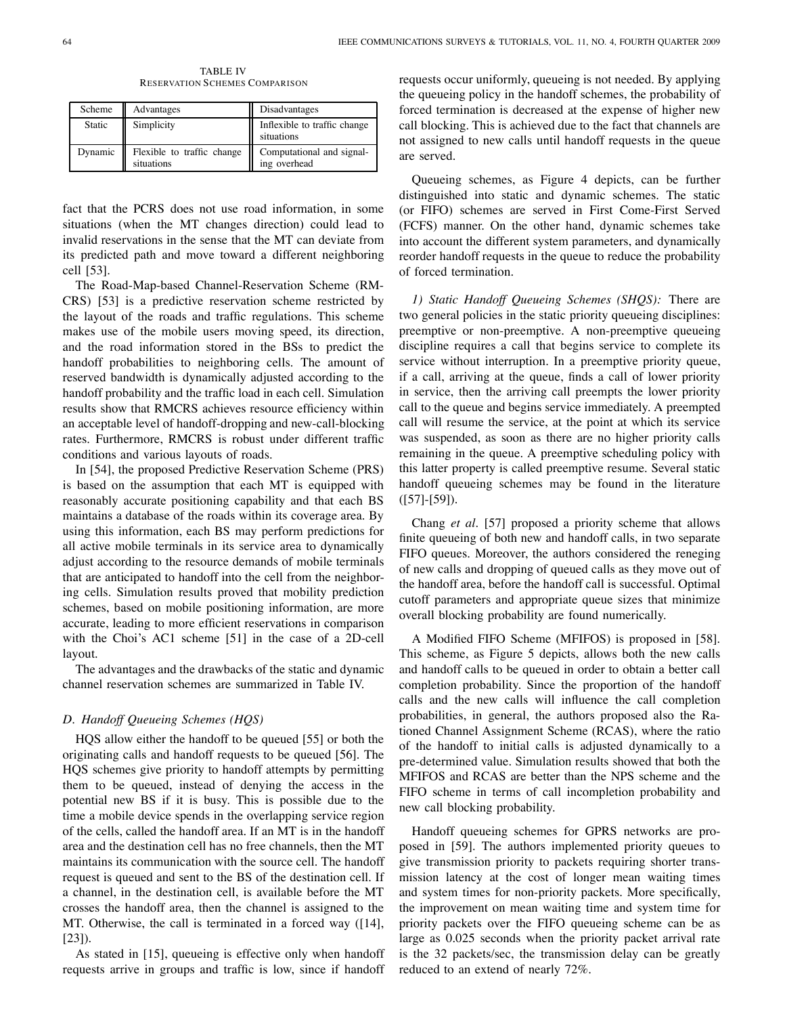TABLE IV RESERVATION SCHEMES COMPARISON

| Scheme        | Advantages                               | Disadvantages                              |
|---------------|------------------------------------------|--------------------------------------------|
| <b>Static</b> | Simplicity                               | Inflexible to traffic change<br>situations |
| Dynamic       | Flexible to traffic change<br>situations | Computational and signal-<br>ing overhead  |

fact that the PCRS does not use road information, in some situations (when the MT changes direction) could lead to invalid reservations in the sense that the MT can deviate from its predicted path and move toward a different neighboring cell [53].

The Road-Map-based Channel-Reservation Scheme (RM-CRS) [53] is a predictive reservation scheme restricted by the layout of the roads and traffic regulations. This scheme makes use of the mobile users moving speed, its direction, and the road information stored in the BSs to predict the handoff probabilities to neighboring cells. The amount of reserved bandwidth is dynamically adjusted according to the handoff probability and the traffic load in each cell. Simulation results show that RMCRS achieves resource efficiency within an acceptable level of handoff-dropping and new-call-blocking rates. Furthermore, RMCRS is robust under different traffic conditions and various layouts of roads.

In [54], the proposed Predictive Reservation Scheme (PRS) is based on the assumption that each MT is equipped with reasonably accurate positioning capability and that each BS maintains a database of the roads within its coverage area. By using this information, each BS may perform predictions for all active mobile terminals in its service area to dynamically adjust according to the resource demands of mobile terminals that are anticipated to handoff into the cell from the neighboring cells. Simulation results proved that mobility prediction schemes, based on mobile positioning information, are more accurate, leading to more efficient reservations in comparison with the Choi's AC1 scheme [51] in the case of a 2D-cell layout.

The advantages and the drawbacks of the static and dynamic channel reservation schemes are summarized in Table IV.

#### *D. Handoff Queueing Schemes (HQS)*

HQS allow either the handoff to be queued [55] or both the originating calls and handoff requests to be queued [56]. The HQS schemes give priority to handoff attempts by permitting them to be queued, instead of denying the access in the potential new BS if it is busy. This is possible due to the time a mobile device spends in the overlapping service region of the cells, called the handoff area. If an MT is in the handoff area and the destination cell has no free channels, then the MT maintains its communication with the source cell. The handoff request is queued and sent to the BS of the destination cell. If a channel, in the destination cell, is available before the MT crosses the handoff area, then the channel is assigned to the MT. Otherwise, the call is terminated in a forced way ([14], [23]).

As stated in [15], queueing is effective only when handoff requests arrive in groups and traffic is low, since if handoff

requests occur uniformly, queueing is not needed. By applying the queueing policy in the handoff schemes, the probability of forced termination is decreased at the expense of higher new call blocking. This is achieved due to the fact that channels are not assigned to new calls until handoff requests in the queue are served.

Queueing schemes, as Figure 4 depicts, can be further distinguished into static and dynamic schemes. The static (or FIFO) schemes are served in First Come-First Served (FCFS) manner. On the other hand, dynamic schemes take into account the different system parameters, and dynamically reorder handoff requests in the queue to reduce the probability of forced termination.

*1) Static Handoff Queueing Schemes (SHQS):* There are two general policies in the static priority queueing disciplines: preemptive or non-preemptive. A non-preemptive queueing discipline requires a call that begins service to complete its service without interruption. In a preemptive priority queue, if a call, arriving at the queue, finds a call of lower priority in service, then the arriving call preempts the lower priority call to the queue and begins service immediately. A preempted call will resume the service, at the point at which its service was suspended, as soon as there are no higher priority calls remaining in the queue. A preemptive scheduling policy with this latter property is called preemptive resume. Several static handoff queueing schemes may be found in the literature ([57]-[59]).

Chang *et al.* [57] proposed a priority scheme that allows finite queueing of both new and handoff calls, in two separate FIFO queues. Moreover, the authors considered the reneging of new calls and dropping of queued calls as they move out of the handoff area, before the handoff call is successful. Optimal cutoff parameters and appropriate queue sizes that minimize overall blocking probability are found numerically.

A Modified FIFO Scheme (MFIFOS) is proposed in [58]. This scheme, as Figure 5 depicts, allows both the new calls and handoff calls to be queued in order to obtain a better call completion probability. Since the proportion of the handoff calls and the new calls will influence the call completion probabilities, in general, the authors proposed also the Rationed Channel Assignment Scheme (RCAS), where the ratio of the handoff to initial calls is adjusted dynamically to a pre-determined value. Simulation results showed that both the MFIFOS and RCAS are better than the NPS scheme and the FIFO scheme in terms of call incompletion probability and new call blocking probability.

Handoff queueing schemes for GPRS networks are proposed in [59]. The authors implemented priority queues to give transmission priority to packets requiring shorter transmission latency at the cost of longer mean waiting times and system times for non-priority packets. More specifically, the improvement on mean waiting time and system time for priority packets over the FIFO queueing scheme can be as large as 0.025 seconds when the priority packet arrival rate is the 32 packets/sec, the transmission delay can be greatly reduced to an extend of nearly 72%.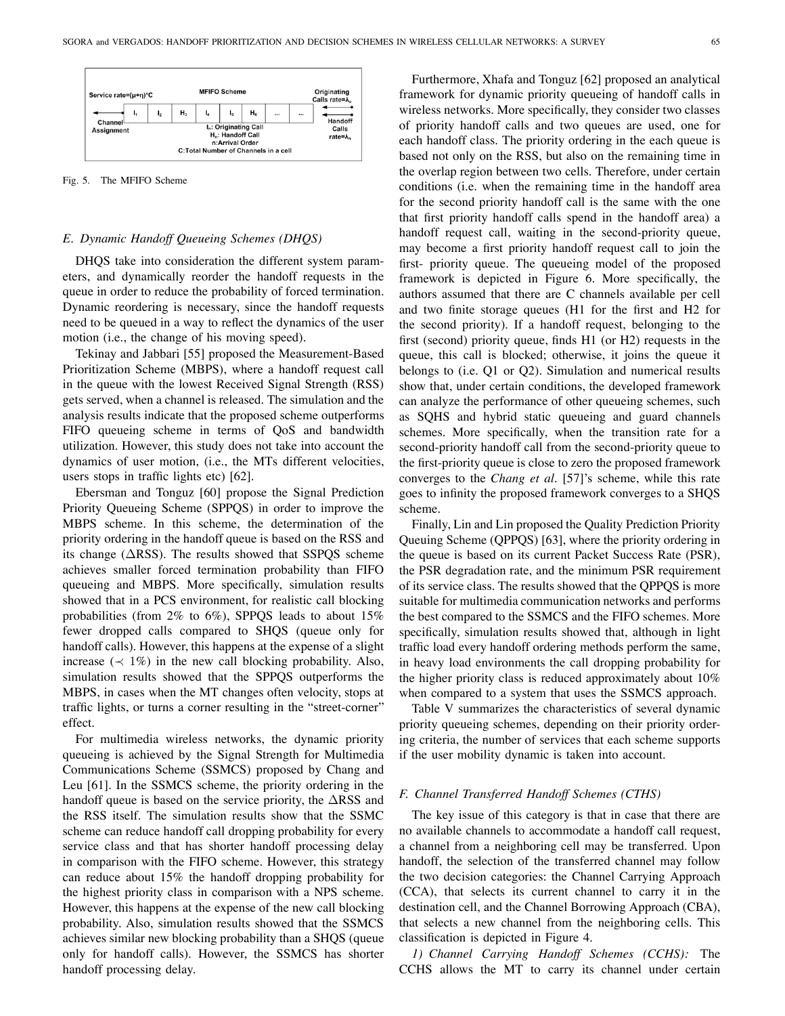

Fig. 5. The MFIFO Scheme

## *E. Dynamic Handoff Queueing Schemes (DHQS)*

DHQS take into consideration the different system parameters, and dynamically reorder the handoff requests in the queue in order to reduce the probability of forced termination. Dynamic reordering is necessary, since the handoff requests need to be queued in a way to reflect the dynamics of the user motion (i.e., the change of his moving speed).

Tekinay and Jabbari [55] proposed the Measurement-Based Prioritization Scheme (MBPS), where a handoff request call in the queue with the lowest Received Signal Strength (RSS) gets served, when a channel is released. The simulation and the analysis results indicate that the proposed scheme outperforms FIFO queueing scheme in terms of QoS and bandwidth utilization. However, this study does not take into account the dynamics of user motion, (i.e., the MTs different velocities, users stops in traffic lights etc) [62].

Ebersman and Tonguz [60] propose the Signal Prediction Priority Queueing Scheme (SPPQS) in order to improve the MBPS scheme. In this scheme, the determination of the priority ordering in the handoff queue is based on the RSS and its change ( $\triangle$ RSS). The results showed that SSPQS scheme achieves smaller forced termination probability than FIFO queueing and MBPS. More specifically, simulation results showed that in a PCS environment, for realistic call blocking probabilities (from 2% to 6%), SPPQS leads to about 15% fewer dropped calls compared to SHQS (queue only for handoff calls). However, this happens at the expense of a slight increase  $(\langle 1\% \rangle)$  in the new call blocking probability. Also, simulation results showed that the SPPQS outperforms the MBPS, in cases when the MT changes often velocity, stops at traffic lights, or turns a corner resulting in the "street-corner" effect.

For multimedia wireless networks, the dynamic priority queueing is achieved by the Signal Strength for Multimedia Communications Scheme (SSMCS) proposed by Chang and Leu [61]. In the SSMCS scheme, the priority ordering in the handoff queue is based on the service priority, the  $\triangle RSS$  and the RSS itself. The simulation results show that the SSMC scheme can reduce handoff call dropping probability for every service class and that has shorter handoff processing delay in comparison with the FIFO scheme. However, this strategy can reduce about 15% the handoff dropping probability for the highest priority class in comparison with a NPS scheme. However, this happens at the expense of the new call blocking probability. Also, simulation results showed that the SSMCS achieves similar new blocking probability than a SHQS (queue only for handoff calls). However, the SSMCS has shorter handoff processing delay.

Furthermore, Xhafa and Tonguz [62] proposed an analytical framework for dynamic priority queueing of handoff calls in wireless networks. More specifically, they consider two classes of priority handoff calls and two queues are used, one for each handoff class. The priority ordering in the each queue is based not only on the RSS, but also on the remaining time in the overlap region between two cells. Therefore, under certain conditions (i.e. when the remaining time in the handoff area for the second priority handoff call is the same with the one that first priority handoff calls spend in the handoff area) a handoff request call, waiting in the second-priority queue, may become a first priority handoff request call to join the first- priority queue. The queueing model of the proposed framework is depicted in Figure 6. More specifically, the authors assumed that there are C channels available per cell and two finite storage queues (H1 for the first and H2 for the second priority). If a handoff request, belonging to the first (second) priority queue, finds H1 (or H2) requests in the queue, this call is blocked; otherwise, it joins the queue it belongs to (i.e. Q1 or Q2). Simulation and numerical results show that, under certain conditions, the developed framework can analyze the performance of other queueing schemes, such as SQHS and hybrid static queueing and guard channels schemes. More specifically, when the transition rate for a second-priority handoff call from the second-priority queue to the first-priority queue is close to zero the proposed framework converges to the *Chang et al.* [57]'s scheme, while this rate goes to infinity the proposed framework converges to a SHQS scheme.

Finally, Lin and Lin proposed the Quality Prediction Priority Queuing Scheme (QPPQS) [63], where the priority ordering in the queue is based on its current Packet Success Rate (PSR), the PSR degradation rate, and the minimum PSR requirement of its service class. The results showed that the QPPQS is more suitable for multimedia communication networks and performs the best compared to the SSMCS and the FIFO schemes. More specifically, simulation results showed that, although in light traffic load every handoff ordering methods perform the same, in heavy load environments the call dropping probability for the higher priority class is reduced approximately about 10% when compared to a system that uses the SSMCS approach.

Table V summarizes the characteristics of several dynamic priority queueing schemes, depending on their priority ordering criteria, the number of services that each scheme supports if the user mobility dynamic is taken into account.

#### *F. Channel Transferred Handoff Schemes (CTHS)*

The key issue of this category is that in case that there are no available channels to accommodate a handoff call request, a channel from a neighboring cell may be transferred. Upon handoff, the selection of the transferred channel may follow the two decision categories: the Channel Carrying Approach (CCA), that selects its current channel to carry it in the destination cell, and the Channel Borrowing Approach (CBA), that selects a new channel from the neighboring cells. This classification is depicted in Figure 4.

*1) Channel Carrying Handoff Schemes (CCHS):* The CCHS allows the MT to carry its channel under certain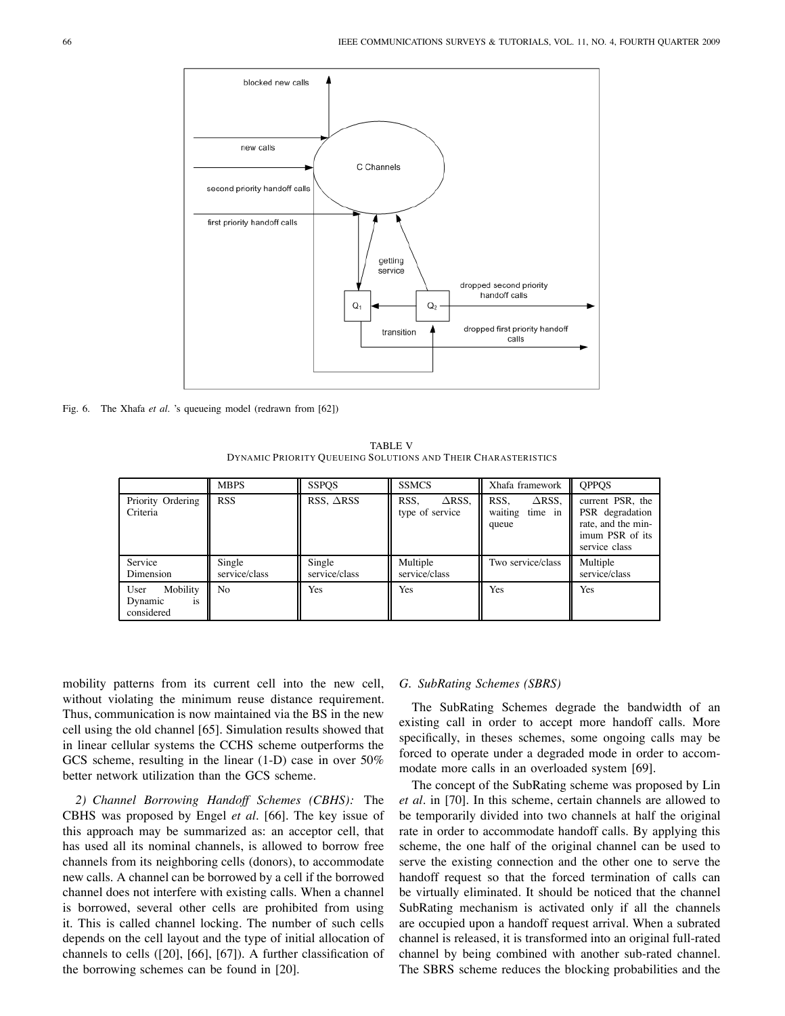

Fig. 6. The Xhafa *et al.* 's queueing model (redrawn from [62])

TABLE V DYNAMIC PRIORITY QUEUEING SOLUTIONS AND THEIR CHARASTERISTICS

|                                                 | <b>MBPS</b>             | <b>SSPOS</b>            | <b>SSMCS</b>                                | Xhafa framework                                          | <b>QPPQS</b>                                                                                  |
|-------------------------------------------------|-------------------------|-------------------------|---------------------------------------------|----------------------------------------------------------|-----------------------------------------------------------------------------------------------|
| Priority Ordering<br>Criteria                   | <b>RSS</b>              | RSS, $\triangle$ RSS    | $\triangle$ RSS,<br>RSS.<br>type of service | RSS.<br>$\triangle RSS$ .<br>waiting<br>time in<br>queue | current PSR, the<br>PSR degradation<br>rate, and the min-<br>imum PSR of its<br>service class |
| Service<br>Dimension                            | Single<br>service/class | Single<br>service/class | Multiple<br>service/class                   | Two service/class                                        | Multiple<br>service/class                                                                     |
| Mobility<br>User<br>Dynamic<br>is<br>considered | No                      | Yes                     | Yes                                         | Yes                                                      | Yes                                                                                           |

mobility patterns from its current cell into the new cell, without violating the minimum reuse distance requirement. Thus, communication is now maintained via the BS in the new cell using the old channel [65]. Simulation results showed that in linear cellular systems the CCHS scheme outperforms the GCS scheme, resulting in the linear (1-D) case in over 50% better network utilization than the GCS scheme.

*2) Channel Borrowing Handoff Schemes (CBHS):* The CBHS was proposed by Engel *et al.* [66]. The key issue of this approach may be summarized as: an acceptor cell, that has used all its nominal channels, is allowed to borrow free channels from its neighboring cells (donors), to accommodate new calls. A channel can be borrowed by a cell if the borrowed channel does not interfere with existing calls. When a channel is borrowed, several other cells are prohibited from using it. This is called channel locking. The number of such cells depends on the cell layout and the type of initial allocation of channels to cells ([20], [66], [67]). A further classification of the borrowing schemes can be found in [20].

## *G. SubRating Schemes (SBRS)*

The SubRating Schemes degrade the bandwidth of an existing call in order to accept more handoff calls. More specifically, in theses schemes, some ongoing calls may be forced to operate under a degraded mode in order to accommodate more calls in an overloaded system [69].

The concept of the SubRating scheme was proposed by Lin *et al.* in [70]. In this scheme, certain channels are allowed to be temporarily divided into two channels at half the original rate in order to accommodate handoff calls. By applying this scheme, the one half of the original channel can be used to serve the existing connection and the other one to serve the handoff request so that the forced termination of calls can be virtually eliminated. It should be noticed that the channel SubRating mechanism is activated only if all the channels are occupied upon a handoff request arrival. When a subrated channel is released, it is transformed into an original full-rated channel by being combined with another sub-rated channel. The SBRS scheme reduces the blocking probabilities and the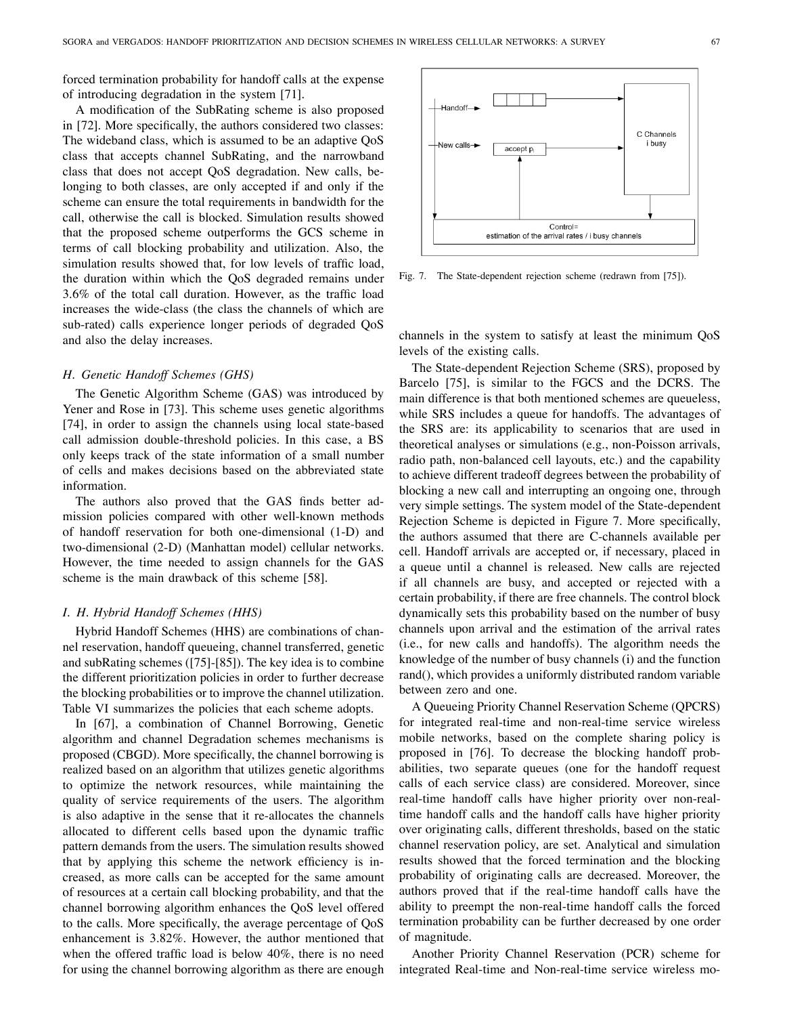forced termination probability for handoff calls at the expense of introducing degradation in the system [71].

A modification of the SubRating scheme is also proposed in [72]. More specifically, the authors considered two classes: The wideband class, which is assumed to be an adaptive QoS class that accepts channel SubRating, and the narrowband class that does not accept QoS degradation. New calls, belonging to both classes, are only accepted if and only if the scheme can ensure the total requirements in bandwidth for the call, otherwise the call is blocked. Simulation results showed that the proposed scheme outperforms the GCS scheme in terms of call blocking probability and utilization. Also, the simulation results showed that, for low levels of traffic load, the duration within which the QoS degraded remains under 3.6% of the total call duration. However, as the traffic load increases the wide-class (the class the channels of which are sub-rated) calls experience longer periods of degraded QoS and also the delay increases.

#### *H. Genetic Handoff Schemes (GHS)*

The Genetic Algorithm Scheme (GAS) was introduced by Yener and Rose in [73]. This scheme uses genetic algorithms [74], in order to assign the channels using local state-based call admission double-threshold policies. In this case, a BS only keeps track of the state information of a small number of cells and makes decisions based on the abbreviated state information.

The authors also proved that the GAS finds better admission policies compared with other well-known methods of handoff reservation for both one-dimensional (1-D) and two-dimensional (2-D) (Manhattan model) cellular networks. However, the time needed to assign channels for the GAS scheme is the main drawback of this scheme [58].

# *I. H. Hybrid Handoff Schemes (HHS)*

Hybrid Handoff Schemes (HHS) are combinations of channel reservation, handoff queueing, channel transferred, genetic and subRating schemes ([75]-[85]). The key idea is to combine the different prioritization policies in order to further decrease the blocking probabilities or to improve the channel utilization. Table VI summarizes the policies that each scheme adopts.

In [67], a combination of Channel Borrowing, Genetic algorithm and channel Degradation schemes mechanisms is proposed (CBGD). More specifically, the channel borrowing is realized based on an algorithm that utilizes genetic algorithms to optimize the network resources, while maintaining the quality of service requirements of the users. The algorithm is also adaptive in the sense that it re-allocates the channels allocated to different cells based upon the dynamic traffic pattern demands from the users. The simulation results showed that by applying this scheme the network efficiency is increased, as more calls can be accepted for the same amount of resources at a certain call blocking probability, and that the channel borrowing algorithm enhances the QoS level offered to the calls. More specifically, the average percentage of QoS enhancement is 3.82%. However, the author mentioned that when the offered traffic load is below 40%, there is no need for using the channel borrowing algorithm as there are enough



Fig. 7. The State-dependent rejection scheme (redrawn from [75]).

channels in the system to satisfy at least the minimum QoS levels of the existing calls.

The State-dependent Rejection Scheme (SRS), proposed by Barcelo [75], is similar to the FGCS and the DCRS. The main difference is that both mentioned schemes are queueless, while SRS includes a queue for handoffs. The advantages of the SRS are: its applicability to scenarios that are used in theoretical analyses or simulations (e.g., non-Poisson arrivals, radio path, non-balanced cell layouts, etc.) and the capability to achieve different tradeoff degrees between the probability of blocking a new call and interrupting an ongoing one, through very simple settings. The system model of the State-dependent Rejection Scheme is depicted in Figure 7. More specifically, the authors assumed that there are C-channels available per cell. Handoff arrivals are accepted or, if necessary, placed in a queue until a channel is released. New calls are rejected if all channels are busy, and accepted or rejected with a certain probability, if there are free channels. The control block dynamically sets this probability based on the number of busy channels upon arrival and the estimation of the arrival rates (i.e., for new calls and handoffs). The algorithm needs the knowledge of the number of busy channels (i) and the function rand(), which provides a uniformly distributed random variable between zero and one.

A Queueing Priority Channel Reservation Scheme (QPCRS) for integrated real-time and non-real-time service wireless mobile networks, based on the complete sharing policy is proposed in [76]. To decrease the blocking handoff probabilities, two separate queues (one for the handoff request calls of each service class) are considered. Moreover, since real-time handoff calls have higher priority over non-realtime handoff calls and the handoff calls have higher priority over originating calls, different thresholds, based on the static channel reservation policy, are set. Analytical and simulation results showed that the forced termination and the blocking probability of originating calls are decreased. Moreover, the authors proved that if the real-time handoff calls have the ability to preempt the non-real-time handoff calls the forced termination probability can be further decreased by one order of magnitude.

Another Priority Channel Reservation (PCR) scheme for integrated Real-time and Non-real-time service wireless mo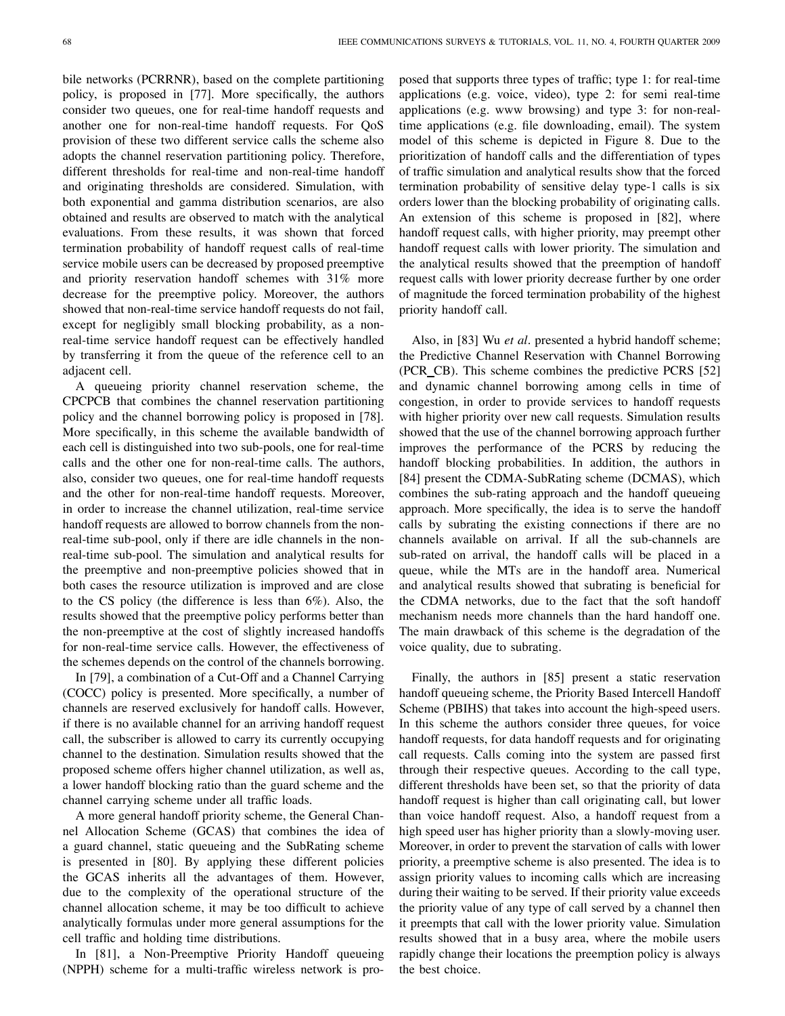bile networks (PCRRNR), based on the complete partitioning policy, is proposed in [77]. More specifically, the authors consider two queues, one for real-time handoff requests and another one for non-real-time handoff requests. For QoS provision of these two different service calls the scheme also adopts the channel reservation partitioning policy. Therefore, different thresholds for real-time and non-real-time handoff and originating thresholds are considered. Simulation, with both exponential and gamma distribution scenarios, are also obtained and results are observed to match with the analytical evaluations. From these results, it was shown that forced termination probability of handoff request calls of real-time service mobile users can be decreased by proposed preemptive and priority reservation handoff schemes with 31% more decrease for the preemptive policy. Moreover, the authors showed that non-real-time service handoff requests do not fail, except for negligibly small blocking probability, as a nonreal-time service handoff request can be effectively handled by transferring it from the queue of the reference cell to an adjacent cell.

A queueing priority channel reservation scheme, the CPCPCB that combines the channel reservation partitioning policy and the channel borrowing policy is proposed in [78]. More specifically, in this scheme the available bandwidth of each cell is distinguished into two sub-pools, one for real-time calls and the other one for non-real-time calls. The authors, also, consider two queues, one for real-time handoff requests and the other for non-real-time handoff requests. Moreover, in order to increase the channel utilization, real-time service handoff requests are allowed to borrow channels from the nonreal-time sub-pool, only if there are idle channels in the nonreal-time sub-pool. The simulation and analytical results for the preemptive and non-preemptive policies showed that in both cases the resource utilization is improved and are close to the CS policy (the difference is less than 6%). Also, the results showed that the preemptive policy performs better than the non-preemptive at the cost of slightly increased handoffs for non-real-time service calls. However, the effectiveness of the schemes depends on the control of the channels borrowing.

In [79], a combination of a Cut-Off and a Channel Carrying (COCC) policy is presented. More specifically, a number of channels are reserved exclusively for handoff calls. However, if there is no available channel for an arriving handoff request call, the subscriber is allowed to carry its currently occupying channel to the destination. Simulation results showed that the proposed scheme offers higher channel utilization, as well as, a lower handoff blocking ratio than the guard scheme and the channel carrying scheme under all traffic loads.

A more general handoff priority scheme, the General Channel Allocation Scheme (GCAS) that combines the idea of a guard channel, static queueing and the SubRating scheme is presented in [80]. By applying these different policies the GCAS inherits all the advantages of them. However, due to the complexity of the operational structure of the channel allocation scheme, it may be too difficult to achieve analytically formulas under more general assumptions for the cell traffic and holding time distributions.

In [81], a Non-Preemptive Priority Handoff queueing (NPPH) scheme for a multi-traffic wireless network is proposed that supports three types of traffic; type 1: for real-time applications (e.g. voice, video), type 2: for semi real-time applications (e.g. www browsing) and type 3: for non-realtime applications (e.g. file downloading, email). The system model of this scheme is depicted in Figure 8. Due to the prioritization of handoff calls and the differentiation of types of traffic simulation and analytical results show that the forced termination probability of sensitive delay type-1 calls is six orders lower than the blocking probability of originating calls. An extension of this scheme is proposed in [82], where handoff request calls, with higher priority, may preempt other handoff request calls with lower priority. The simulation and the analytical results showed that the preemption of handoff request calls with lower priority decrease further by one order of magnitude the forced termination probability of the highest priority handoff call.

Also, in [83] Wu *et al.* presented a hybrid handoff scheme; the Predictive Channel Reservation with Channel Borrowing (PCR CB). This scheme combines the predictive PCRS [52] and dynamic channel borrowing among cells in time of congestion, in order to provide services to handoff requests with higher priority over new call requests. Simulation results showed that the use of the channel borrowing approach further improves the performance of the PCRS by reducing the handoff blocking probabilities. In addition, the authors in [84] present the CDMA-SubRating scheme (DCMAS), which combines the sub-rating approach and the handoff queueing approach. More specifically, the idea is to serve the handoff calls by subrating the existing connections if there are no channels available on arrival. If all the sub-channels are sub-rated on arrival, the handoff calls will be placed in a queue, while the MTs are in the handoff area. Numerical and analytical results showed that subrating is beneficial for the CDMA networks, due to the fact that the soft handoff mechanism needs more channels than the hard handoff one. The main drawback of this scheme is the degradation of the voice quality, due to subrating.

Finally, the authors in [85] present a static reservation handoff queueing scheme, the Priority Based Intercell Handoff Scheme (PBIHS) that takes into account the high-speed users. In this scheme the authors consider three queues, for voice handoff requests, for data handoff requests and for originating call requests. Calls coming into the system are passed first through their respective queues. According to the call type, different thresholds have been set, so that the priority of data handoff request is higher than call originating call, but lower than voice handoff request. Also, a handoff request from a high speed user has higher priority than a slowly-moving user. Moreover, in order to prevent the starvation of calls with lower priority, a preemptive scheme is also presented. The idea is to assign priority values to incoming calls which are increasing during their waiting to be served. If their priority value exceeds the priority value of any type of call served by a channel then it preempts that call with the lower priority value. Simulation results showed that in a busy area, where the mobile users rapidly change their locations the preemption policy is always the best choice.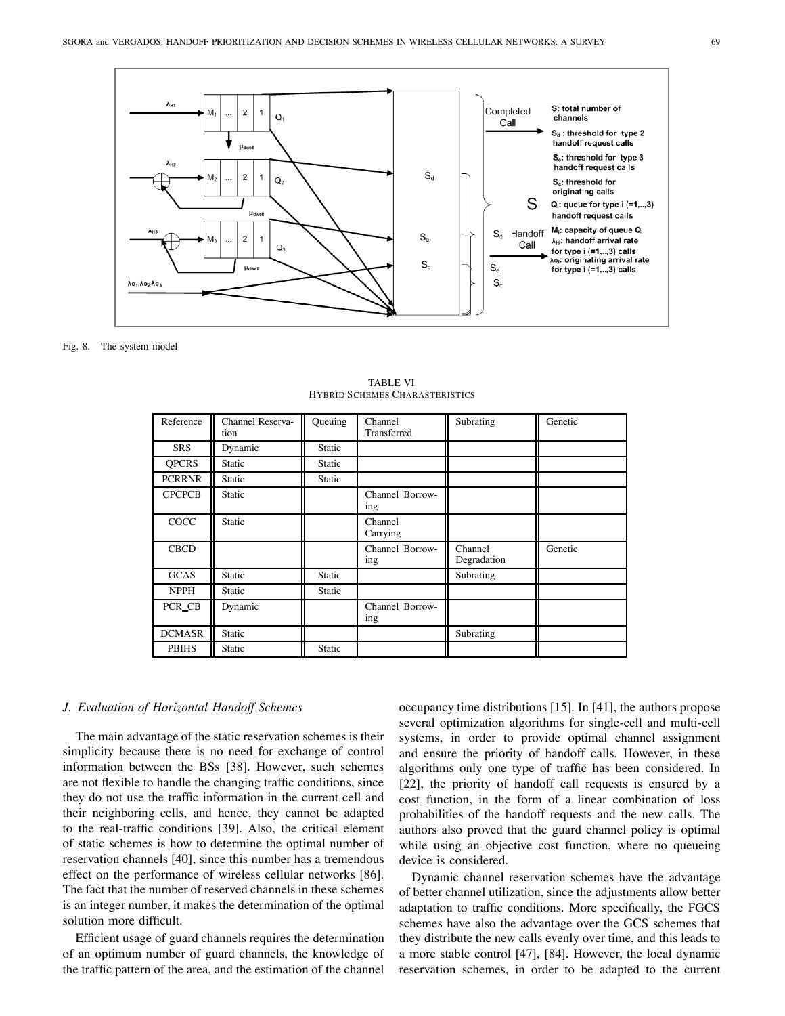

Fig. 8. The system model

| Reference     | Channel Reserva-<br>tion | Queuing       | Channel<br>Transferred | Subrating              | Genetic |
|---------------|--------------------------|---------------|------------------------|------------------------|---------|
| SRS           | Dynamic                  | <b>Static</b> |                        |                        |         |
| <b>OPCRS</b>  | Static                   | <b>Static</b> |                        |                        |         |
| <b>PCRRNR</b> | Static                   | <b>Static</b> |                        |                        |         |
| <b>CPCPCB</b> | <b>Static</b>            |               | Channel Borrow-<br>ing |                        |         |
| COCC          | Static                   |               | Channel<br>Carrying    |                        |         |
| <b>CBCD</b>   |                          |               | Channel Borrow-<br>ing | Channel<br>Degradation | Genetic |
| <b>GCAS</b>   | Static                   | <b>Static</b> |                        | Subrating              |         |
| <b>NPPH</b>   | Static                   | Static        |                        |                        |         |
| PCR CB        | Dynamic                  |               | Channel Borrow-<br>ing |                        |         |
| <b>DCMASR</b> | Static                   |               |                        | Subrating              |         |
| <b>PBIHS</b>  | Static                   | <b>Static</b> |                        |                        |         |

TABLE VI HYBRID SCHEMES CHARASTERISTICS

## *J. Evaluation of Horizontal Handoff Schemes*

The main advantage of the static reservation schemes is their simplicity because there is no need for exchange of control information between the BSs [38]. However, such schemes are not flexible to handle the changing traffic conditions, since they do not use the traffic information in the current cell and their neighboring cells, and hence, they cannot be adapted to the real-traffic conditions [39]. Also, the critical element of static schemes is how to determine the optimal number of reservation channels [40], since this number has a tremendous effect on the performance of wireless cellular networks [86]. The fact that the number of reserved channels in these schemes is an integer number, it makes the determination of the optimal solution more difficult.

Efficient usage of guard channels requires the determination of an optimum number of guard channels, the knowledge of the traffic pattern of the area, and the estimation of the channel occupancy time distributions [15]. In [41], the authors propose several optimization algorithms for single-cell and multi-cell systems, in order to provide optimal channel assignment and ensure the priority of handoff calls. However, in these algorithms only one type of traffic has been considered. In [22], the priority of handoff call requests is ensured by a cost function, in the form of a linear combination of loss probabilities of the handoff requests and the new calls. The authors also proved that the guard channel policy is optimal while using an objective cost function, where no queueing device is considered.

Dynamic channel reservation schemes have the advantage of better channel utilization, since the adjustments allow better adaptation to traffic conditions. More specifically, the FGCS schemes have also the advantage over the GCS schemes that they distribute the new calls evenly over time, and this leads to a more stable control [47], [84]. However, the local dynamic reservation schemes, in order to be adapted to the current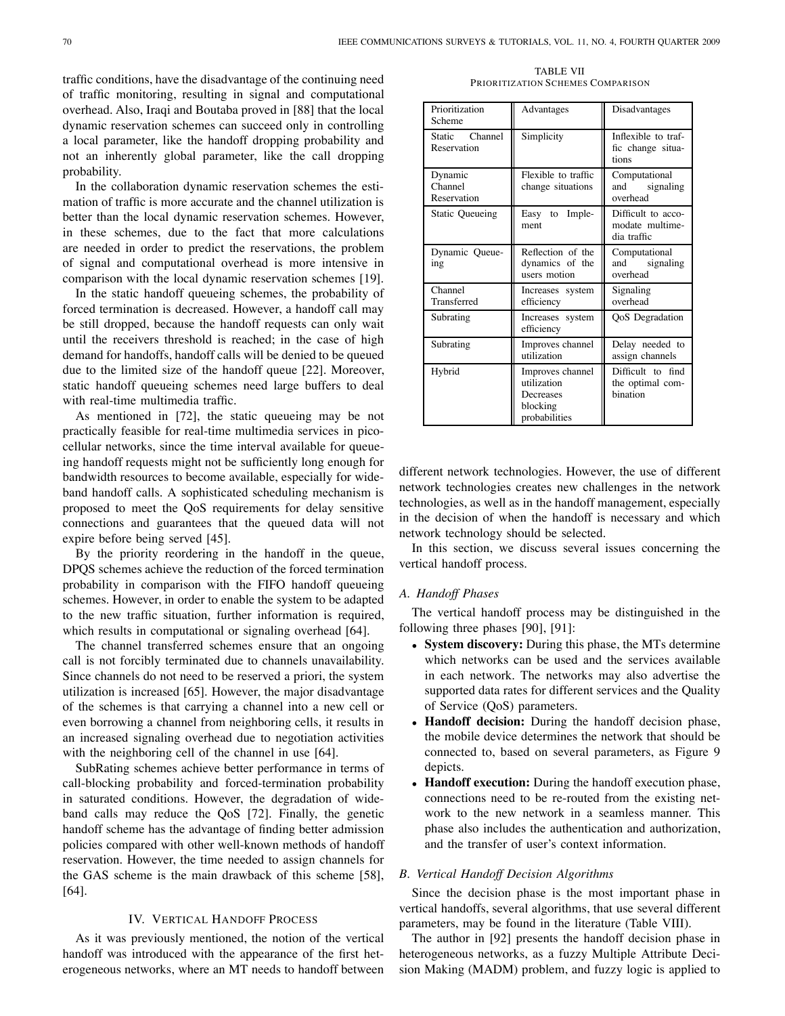traffic conditions, have the disadvantage of the continuing need of traffic monitoring, resulting in signal and computational overhead. Also, Iraqi and Boutaba proved in [88] that the local dynamic reservation schemes can succeed only in controlling a local parameter, like the handoff dropping probability and not an inherently global parameter, like the call dropping probability.

In the collaboration dynamic reservation schemes the estimation of traffic is more accurate and the channel utilization is better than the local dynamic reservation schemes. However, in these schemes, due to the fact that more calculations are needed in order to predict the reservations, the problem of signal and computational overhead is more intensive in comparison with the local dynamic reservation schemes [19].

In the static handoff queueing schemes, the probability of forced termination is decreased. However, a handoff call may be still dropped, because the handoff requests can only wait until the receivers threshold is reached; in the case of high demand for handoffs, handoff calls will be denied to be queued due to the limited size of the handoff queue [22]. Moreover, static handoff queueing schemes need large buffers to deal with real-time multimedia traffic.

As mentioned in [72], the static queueing may be not practically feasible for real-time multimedia services in picocellular networks, since the time interval available for queueing handoff requests might not be sufficiently long enough for bandwidth resources to become available, especially for wideband handoff calls. A sophisticated scheduling mechanism is proposed to meet the QoS requirements for delay sensitive connections and guarantees that the queued data will not expire before being served [45].

By the priority reordering in the handoff in the queue, DPQS schemes achieve the reduction of the forced termination probability in comparison with the FIFO handoff queueing schemes. However, in order to enable the system to be adapted to the new traffic situation, further information is required, which results in computational or signaling overhead [64].

The channel transferred schemes ensure that an ongoing call is not forcibly terminated due to channels unavailability. Since channels do not need to be reserved a priori, the system utilization is increased [65]. However, the major disadvantage of the schemes is that carrying a channel into a new cell or even borrowing a channel from neighboring cells, it results in an increased signaling overhead due to negotiation activities with the neighboring cell of the channel in use [64].

SubRating schemes achieve better performance in terms of call-blocking probability and forced-termination probability in saturated conditions. However, the degradation of wideband calls may reduce the QoS [72]. Finally, the genetic handoff scheme has the advantage of finding better admission policies compared with other well-known methods of handoff reservation. However, the time needed to assign channels for the GAS scheme is the main drawback of this scheme [58], [64].

## IV. VERTICAL HANDOFF PROCESS

As it was previously mentioned, the notion of the vertical handoff was introduced with the appearance of the first heterogeneous networks, where an MT needs to handoff between

TABLE VII PRIORITIZATION SCHEMES COMPARISON

| Prioritization<br>Scheme          | Advantages                                                                | Disadvantages                                        |
|-----------------------------------|---------------------------------------------------------------------------|------------------------------------------------------|
| Static Channel<br>Reservation     | Simplicity                                                                | Inflexible to traf-<br>fic change situa-<br>tions    |
| Dynamic<br>Channel<br>Reservation | Flexible to traffic<br>change situations                                  | Computational<br>and signaling<br>overhead           |
| <b>Static Queueing</b>            | Easy to Imple-<br>ment                                                    | Difficult to acco-<br>modate multime-<br>dia traffic |
| Dynamic Queue-<br>ing             | Reflection of the<br>dynamics of the<br>users motion                      | Computational<br>and signaling<br>overhead           |
| Channel<br>Transferred            | Increases system<br>efficiency                                            | Signaling<br>overhead                                |
| Subrating                         | Increases system<br>efficiency                                            | QoS Degradation                                      |
| Subrating                         | Improves channel<br>utilization                                           | Delay needed to<br>assign channels                   |
| Hybrid                            | Improves channel<br>utilization<br>Decreases<br>blocking<br>probabilities | Difficult to find<br>the optimal com-<br>bination    |

different network technologies. However, the use of different network technologies creates new challenges in the network technologies, as well as in the handoff management, especially in the decision of when the handoff is necessary and which network technology should be selected.

In this section, we discuss several issues concerning the vertical handoff process.

## *A. Handoff Phases*

The vertical handoff process may be distinguished in the following three phases [90], [91]:

- *•* **System discovery:** During this phase, the MTs determine which networks can be used and the services available in each network. The networks may also advertise the supported data rates for different services and the Quality of Service (QoS) parameters.
- *•* **Handoff decision:** During the handoff decision phase, the mobile device determines the network that should be connected to, based on several parameters, as Figure 9 depicts.
- *•* **Handoff execution:** During the handoff execution phase, connections need to be re-routed from the existing network to the new network in a seamless manner. This phase also includes the authentication and authorization, and the transfer of user's context information.

## *B. Vertical Handoff Decision Algorithms*

Since the decision phase is the most important phase in vertical handoffs, several algorithms, that use several different parameters, may be found in the literature (Table VIII).

The author in [92] presents the handoff decision phase in heterogeneous networks, as a fuzzy Multiple Attribute Decision Making (MADM) problem, and fuzzy logic is applied to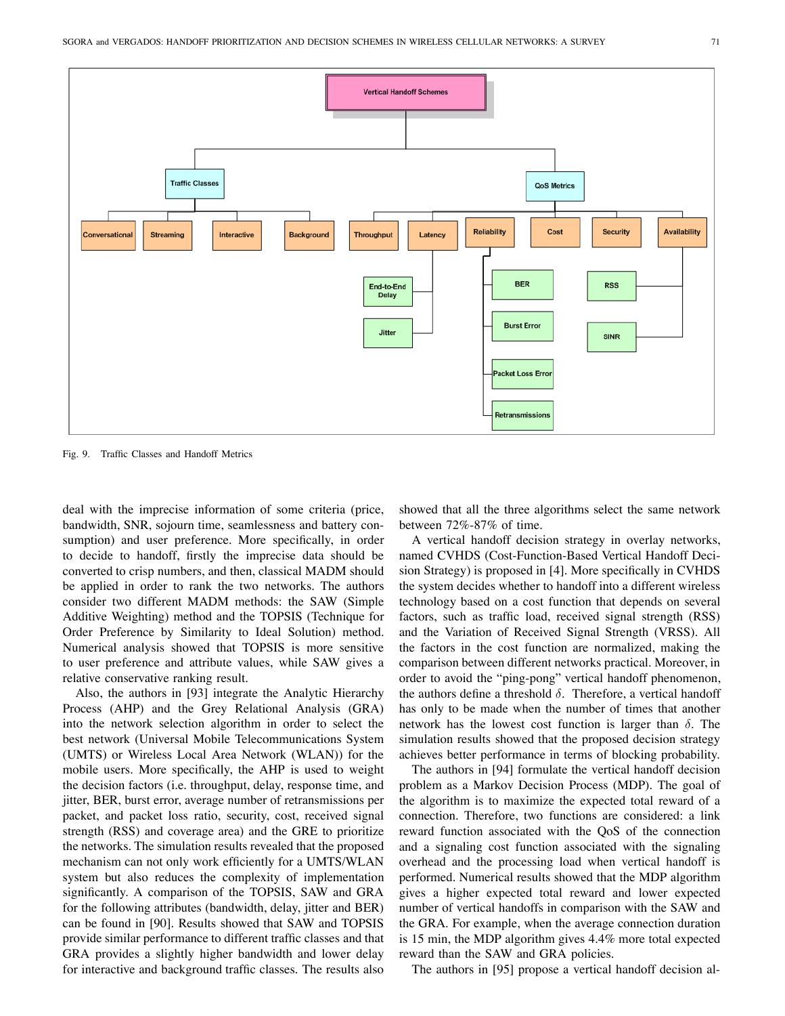

Fig. 9. Traffic Classes and Handoff Metrics

deal with the imprecise information of some criteria (price, bandwidth, SNR, sojourn time, seamlessness and battery consumption) and user preference. More specifically, in order to decide to handoff, firstly the imprecise data should be converted to crisp numbers, and then, classical MADM should be applied in order to rank the two networks. The authors consider two different MADM methods: the SAW (Simple Additive Weighting) method and the TOPSIS (Technique for Order Preference by Similarity to Ideal Solution) method. Numerical analysis showed that TOPSIS is more sensitive to user preference and attribute values, while SAW gives a relative conservative ranking result.

Also, the authors in [93] integrate the Analytic Hierarchy Process (AHP) and the Grey Relational Analysis (GRA) into the network selection algorithm in order to select the best network (Universal Mobile Telecommunications System (UMTS) or Wireless Local Area Network (WLAN)) for the mobile users. More specifically, the AHP is used to weight the decision factors (i.e. throughput, delay, response time, and jitter, BER, burst error, average number of retransmissions per packet, and packet loss ratio, security, cost, received signal strength (RSS) and coverage area) and the GRE to prioritize the networks. The simulation results revealed that the proposed mechanism can not only work efficiently for a UMTS/WLAN system but also reduces the complexity of implementation significantly. A comparison of the TOPSIS, SAW and GRA for the following attributes (bandwidth, delay, jitter and BER) can be found in [90]. Results showed that SAW and TOPSIS provide similar performance to different traffic classes and that GRA provides a slightly higher bandwidth and lower delay for interactive and background traffic classes. The results also

showed that all the three algorithms select the same network between 72%-87% of time.

A vertical handoff decision strategy in overlay networks, named CVHDS (Cost-Function-Based Vertical Handoff Decision Strategy) is proposed in [4]. More specifically in CVHDS the system decides whether to handoff into a different wireless technology based on a cost function that depends on several factors, such as traffic load, received signal strength (RSS) and the Variation of Received Signal Strength (VRSS). All the factors in the cost function are normalized, making the comparison between different networks practical. Moreover, in order to avoid the "ping-pong" vertical handoff phenomenon, the authors define a threshold  $\delta$ . Therefore, a vertical handoff has only to be made when the number of times that another network has the lowest cost function is larger than  $\delta$ . The simulation results showed that the proposed decision strategy achieves better performance in terms of blocking probability.

The authors in [94] formulate the vertical handoff decision problem as a Markov Decision Process (MDP). The goal of the algorithm is to maximize the expected total reward of a connection. Therefore, two functions are considered: a link reward function associated with the QoS of the connection and a signaling cost function associated with the signaling overhead and the processing load when vertical handoff is performed. Numerical results showed that the MDP algorithm gives a higher expected total reward and lower expected number of vertical handoffs in comparison with the SAW and the GRA. For example, when the average connection duration is 15 min, the MDP algorithm gives 4.4% more total expected reward than the SAW and GRA policies.

The authors in [95] propose a vertical handoff decision al-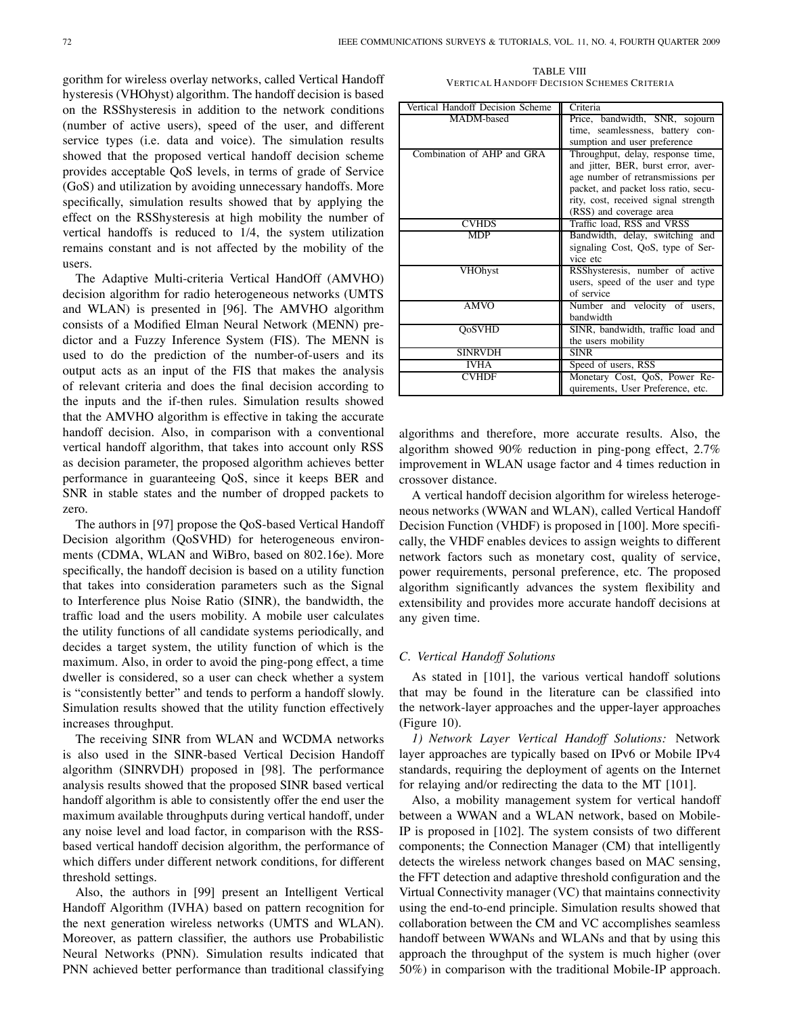gorithm for wireless overlay networks, called Vertical Handoff hysteresis (VHOhyst) algorithm. The handoff decision is based on the RSShysteresis in addition to the network conditions (number of active users), speed of the user, and different service types (i.e. data and voice). The simulation results showed that the proposed vertical handoff decision scheme provides acceptable QoS levels, in terms of grade of Service (GoS) and utilization by avoiding unnecessary handoffs. More specifically, simulation results showed that by applying the effect on the RSShysteresis at high mobility the number of vertical handoffs is reduced to 1/4, the system utilization remains constant and is not affected by the mobility of the users.

The Adaptive Multi-criteria Vertical HandOff (AMVHO) decision algorithm for radio heterogeneous networks (UMTS and WLAN) is presented in [96]. The AMVHO algorithm consists of a Modified Elman Neural Network (MENN) predictor and a Fuzzy Inference System (FIS). The MENN is used to do the prediction of the number-of-users and its output acts as an input of the FIS that makes the analysis of relevant criteria and does the final decision according to the inputs and the if-then rules. Simulation results showed that the AMVHO algorithm is effective in taking the accurate handoff decision. Also, in comparison with a conventional vertical handoff algorithm, that takes into account only RSS as decision parameter, the proposed algorithm achieves better performance in guaranteeing QoS, since it keeps BER and SNR in stable states and the number of dropped packets to zero.

The authors in [97] propose the QoS-based Vertical Handoff Decision algorithm (QoSVHD) for heterogeneous environments (CDMA, WLAN and WiBro, based on 802.16e). More specifically, the handoff decision is based on a utility function that takes into consideration parameters such as the Signal to Interference plus Noise Ratio (SINR), the bandwidth, the traffic load and the users mobility. A mobile user calculates the utility functions of all candidate systems periodically, and decides a target system, the utility function of which is the maximum. Also, in order to avoid the ping-pong effect, a time dweller is considered, so a user can check whether a system is "consistently better" and tends to perform a handoff slowly. Simulation results showed that the utility function effectively increases throughput.

The receiving SINR from WLAN and WCDMA networks is also used in the SINR-based Vertical Decision Handoff algorithm (SINRVDH) proposed in [98]. The performance analysis results showed that the proposed SINR based vertical handoff algorithm is able to consistently offer the end user the maximum available throughputs during vertical handoff, under any noise level and load factor, in comparison with the RSSbased vertical handoff decision algorithm, the performance of which differs under different network conditions, for different threshold settings.

Also, the authors in [99] present an Intelligent Vertical Handoff Algorithm (IVHA) based on pattern recognition for the next generation wireless networks (UMTS and WLAN). Moreover, as pattern classifier, the authors use Probabilistic Neural Networks (PNN). Simulation results indicated that PNN achieved better performance than traditional classifying

TABLE VIII VERTICAL HANDOFF DECISION SCHEMES CRITERIA

| Vertical Handoff Decision Scheme | Criteria                                                                                                                                                                                                                 |
|----------------------------------|--------------------------------------------------------------------------------------------------------------------------------------------------------------------------------------------------------------------------|
| MADM-based                       | Price, bandwidth, SNR, sojourn                                                                                                                                                                                           |
|                                  | time, seamlessness, battery con-                                                                                                                                                                                         |
|                                  | sumption and user preference                                                                                                                                                                                             |
| Combination of AHP and GRA       | Throughput, delay, response time,<br>and jitter, BER, burst error, aver-<br>age number of retransmissions per<br>packet, and packet loss ratio, secu-<br>rity, cost, received signal strength<br>(RSS) and coverage area |
| <b>CVHDS</b>                     | Traffic load, RSS and VRSS                                                                                                                                                                                               |
| <b>MDP</b>                       | Bandwidth, delay, switching and                                                                                                                                                                                          |
|                                  | signaling Cost, QoS, type of Ser-<br>vice etc                                                                                                                                                                            |
| <b>VHOhyst</b>                   | RSShysteresis, number of active<br>users, speed of the user and type<br>of service                                                                                                                                       |
| <b>AMVO</b>                      | Number and velocity of users,<br>bandwidth                                                                                                                                                                               |
| <b>OoSVHD</b>                    | SINR, bandwidth, traffic load and<br>the users mobility                                                                                                                                                                  |
| <b>SINRVDH</b>                   | <b>SINR</b>                                                                                                                                                                                                              |
| <b>IVHA</b>                      | Speed of users, RSS                                                                                                                                                                                                      |
| <b>CVHDF</b>                     | Monetary Cost, QoS, Power Re-<br>quirements, User Preference, etc.                                                                                                                                                       |

algorithms and therefore, more accurate results. Also, the algorithm showed 90% reduction in ping-pong effect, 2.7% improvement in WLAN usage factor and 4 times reduction in crossover distance.

A vertical handoff decision algorithm for wireless heterogeneous networks (WWAN and WLAN), called Vertical Handoff Decision Function (VHDF) is proposed in [100]. More specifically, the VHDF enables devices to assign weights to different network factors such as monetary cost, quality of service, power requirements, personal preference, etc. The proposed algorithm significantly advances the system flexibility and extensibility and provides more accurate handoff decisions at any given time.

## *C. Vertical Handoff Solutions*

As stated in [101], the various vertical handoff solutions that may be found in the literature can be classified into the network-layer approaches and the upper-layer approaches (Figure 10).

*1) Network Layer Vertical Handoff Solutions:* Network layer approaches are typically based on IPv6 or Mobile IPv4 standards, requiring the deployment of agents on the Internet for relaying and/or redirecting the data to the MT [101].

Also, a mobility management system for vertical handoff between a WWAN and a WLAN network, based on Mobile-IP is proposed in [102]. The system consists of two different components; the Connection Manager (CM) that intelligently detects the wireless network changes based on MAC sensing, the FFT detection and adaptive threshold configuration and the Virtual Connectivity manager (VC) that maintains connectivity using the end-to-end principle. Simulation results showed that collaboration between the CM and VC accomplishes seamless handoff between WWANs and WLANs and that by using this approach the throughput of the system is much higher (over 50%) in comparison with the traditional Mobile-IP approach.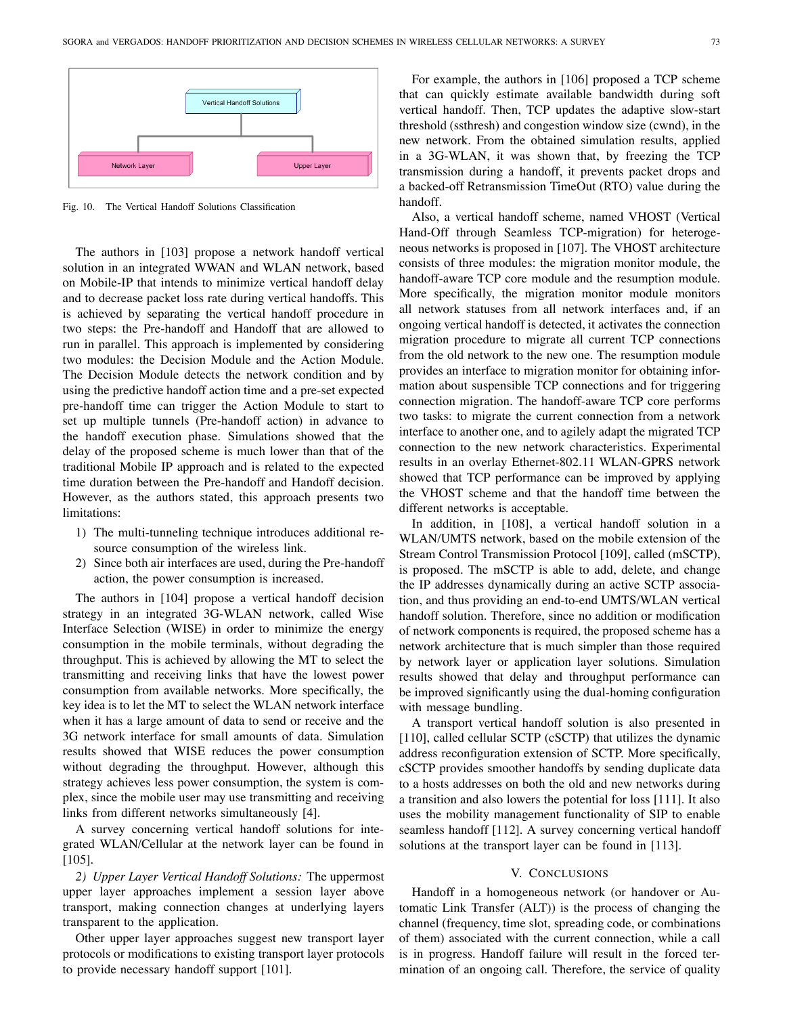

Fig. 10. The Vertical Handoff Solutions Classification

The authors in [103] propose a network handoff vertical solution in an integrated WWAN and WLAN network, based on Mobile-IP that intends to minimize vertical handoff delay and to decrease packet loss rate during vertical handoffs. This is achieved by separating the vertical handoff procedure in two steps: the Pre-handoff and Handoff that are allowed to run in parallel. This approach is implemented by considering two modules: the Decision Module and the Action Module. The Decision Module detects the network condition and by using the predictive handoff action time and a pre-set expected pre-handoff time can trigger the Action Module to start to set up multiple tunnels (Pre-handoff action) in advance to the handoff execution phase. Simulations showed that the delay of the proposed scheme is much lower than that of the traditional Mobile IP approach and is related to the expected time duration between the Pre-handoff and Handoff decision. However, as the authors stated, this approach presents two limitations:

- 1) The multi-tunneling technique introduces additional resource consumption of the wireless link.
- 2) Since both air interfaces are used, during the Pre-handoff action, the power consumption is increased.

The authors in [104] propose a vertical handoff decision strategy in an integrated 3G-WLAN network, called Wise Interface Selection (WISE) in order to minimize the energy consumption in the mobile terminals, without degrading the throughput. This is achieved by allowing the MT to select the transmitting and receiving links that have the lowest power consumption from available networks. More specifically, the key idea is to let the MT to select the WLAN network interface when it has a large amount of data to send or receive and the 3G network interface for small amounts of data. Simulation results showed that WISE reduces the power consumption without degrading the throughput. However, although this strategy achieves less power consumption, the system is complex, since the mobile user may use transmitting and receiving links from different networks simultaneously [4].

A survey concerning vertical handoff solutions for integrated WLAN/Cellular at the network layer can be found in [105].

*2) Upper Layer Vertical Handoff Solutions:* The uppermost upper layer approaches implement a session layer above transport, making connection changes at underlying layers transparent to the application.

Other upper layer approaches suggest new transport layer protocols or modifications to existing transport layer protocols to provide necessary handoff support [101].

For example, the authors in [106] proposed a TCP scheme that can quickly estimate available bandwidth during soft vertical handoff. Then, TCP updates the adaptive slow-start threshold (ssthresh) and congestion window size (cwnd), in the new network. From the obtained simulation results, applied in a 3G-WLAN, it was shown that, by freezing the TCP transmission during a handoff, it prevents packet drops and a backed-off Retransmission TimeOut (RTO) value during the handoff.

Also, a vertical handoff scheme, named VHOST (Vertical Hand-Off through Seamless TCP-migration) for heterogeneous networks is proposed in [107]. The VHOST architecture consists of three modules: the migration monitor module, the handoff-aware TCP core module and the resumption module. More specifically, the migration monitor module monitors all network statuses from all network interfaces and, if an ongoing vertical handoff is detected, it activates the connection migration procedure to migrate all current TCP connections from the old network to the new one. The resumption module provides an interface to migration monitor for obtaining information about suspensible TCP connections and for triggering connection migration. The handoff-aware TCP core performs two tasks: to migrate the current connection from a network interface to another one, and to agilely adapt the migrated TCP connection to the new network characteristics. Experimental results in an overlay Ethernet-802.11 WLAN-GPRS network showed that TCP performance can be improved by applying the VHOST scheme and that the handoff time between the different networks is acceptable.

In addition, in [108], a vertical handoff solution in a WLAN/UMTS network, based on the mobile extension of the Stream Control Transmission Protocol [109], called (mSCTP), is proposed. The mSCTP is able to add, delete, and change the IP addresses dynamically during an active SCTP association, and thus providing an end-to-end UMTS/WLAN vertical handoff solution. Therefore, since no addition or modification of network components is required, the proposed scheme has a network architecture that is much simpler than those required by network layer or application layer solutions. Simulation results showed that delay and throughput performance can be improved significantly using the dual-homing configuration with message bundling.

A transport vertical handoff solution is also presented in [110], called cellular SCTP (cSCTP) that utilizes the dynamic address reconfiguration extension of SCTP. More specifically, cSCTP provides smoother handoffs by sending duplicate data to a hosts addresses on both the old and new networks during a transition and also lowers the potential for loss [111]. It also uses the mobility management functionality of SIP to enable seamless handoff [112]. A survey concerning vertical handoff solutions at the transport layer can be found in [113].

## V. CONCLUSIONS

Handoff in a homogeneous network (or handover or Automatic Link Transfer (ALT)) is the process of changing the channel (frequency, time slot, spreading code, or combinations of them) associated with the current connection, while a call is in progress. Handoff failure will result in the forced termination of an ongoing call. Therefore, the service of quality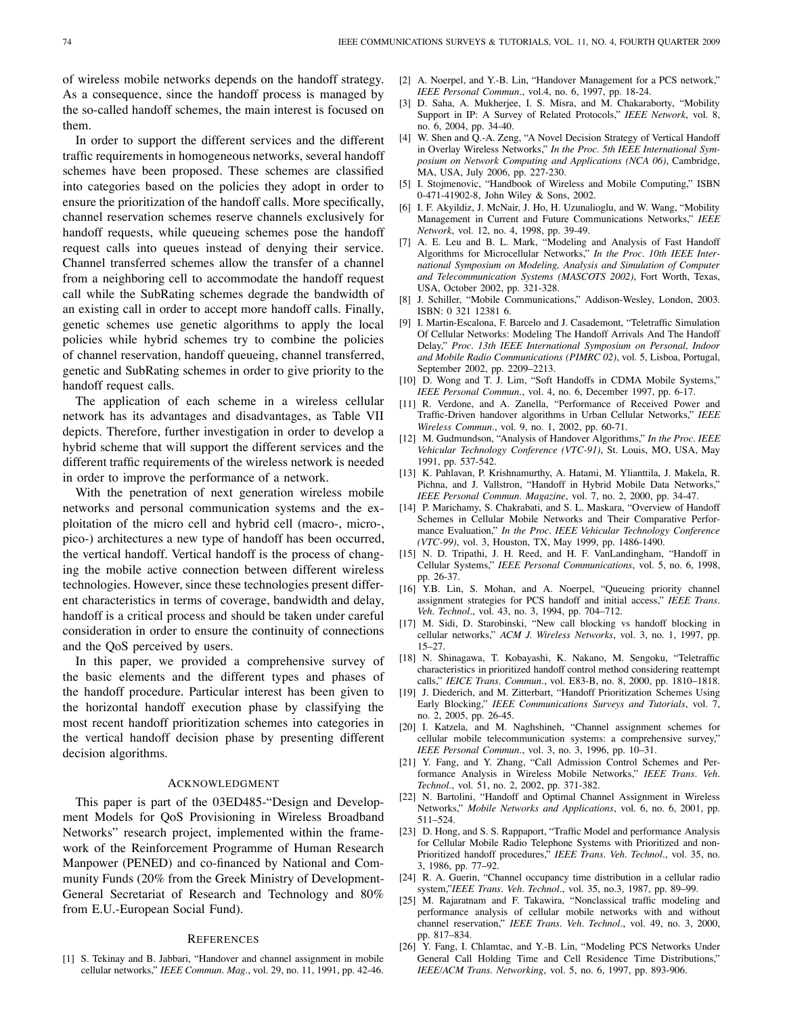of wireless mobile networks depends on the handoff strategy. As a consequence, since the handoff process is managed by the so-called handoff schemes, the main interest is focused on them.

In order to support the different services and the different traffic requirements in homogeneous networks, several handoff schemes have been proposed. These schemes are classified into categories based on the policies they adopt in order to ensure the prioritization of the handoff calls. More specifically, channel reservation schemes reserve channels exclusively for handoff requests, while queueing schemes pose the handoff request calls into queues instead of denying their service. Channel transferred schemes allow the transfer of a channel from a neighboring cell to accommodate the handoff request call while the SubRating schemes degrade the bandwidth of an existing call in order to accept more handoff calls. Finally, genetic schemes use genetic algorithms to apply the local policies while hybrid schemes try to combine the policies of channel reservation, handoff queueing, channel transferred, genetic and SubRating schemes in order to give priority to the handoff request calls.

The application of each scheme in a wireless cellular network has its advantages and disadvantages, as Table VII depicts. Therefore, further investigation in order to develop a hybrid scheme that will support the different services and the different traffic requirements of the wireless network is needed in order to improve the performance of a network.

With the penetration of next generation wireless mobile networks and personal communication systems and the exploitation of the micro cell and hybrid cell (macro-, micro-, pico-) architectures a new type of handoff has been occurred, the vertical handoff. Vertical handoff is the process of changing the mobile active connection between different wireless technologies. However, since these technologies present different characteristics in terms of coverage, bandwidth and delay, handoff is a critical process and should be taken under careful consideration in order to ensure the continuity of connections and the QoS perceived by users.

In this paper, we provided a comprehensive survey of the basic elements and the different types and phases of the handoff procedure. Particular interest has been given to the horizontal handoff execution phase by classifying the most recent handoff prioritization schemes into categories in the vertical handoff decision phase by presenting different decision algorithms.

## ACKNOWLEDGMENT

This paper is part of the 03ED485-"Design and Development Models for QoS Provisioning in Wireless Broadband Networks" research project, implemented within the framework of the Reinforcement Programme of Human Research Manpower (PENED) and co-financed by National and Community Funds (20% from the Greek Ministry of Development-General Secretariat of Research and Technology and 80% from E.U.-European Social Fund).

#### **REFERENCES**

[1] S. Tekinay and B. Jabbari, "Handover and channel assignment in mobile cellular networks," *IEEE Commun. Mag.*, vol. 29, no. 11, 1991, pp. 42-46.

- [2] A. Noerpel, and Y.-B. Lin, "Handover Management for a PCS network," *IEEE Personal Commun.*, vol.4, no. 6, 1997, pp. 18-24.
- [3] D. Saha, A. Mukherjee, I. S. Misra, and M. Chakaraborty, "Mobility Support in IP: A Survey of Related Protocols," *IEEE Network*, vol. 8, no. 6, 2004, pp. 34-40.
- [4] W. Shen and Q.-A. Zeng, "A Novel Decision Strategy of Vertical Handoff in Overlay Wireless Networks," *In the Proc. 5th IEEE International Symposium on Network Computing and Applications (NCA 06)*, Cambridge, MA, USA, July 2006, pp. 227-230.
- [5] I. Stojmenovic, "Handbook of Wireless and Mobile Computing," ISBN 0-471-41902-8, John Wiley & Sons, 2002.
- [6] I. F. Akyildiz, J. McNair, J. Ho, H. Uzunalioglu, and W. Wang, "Mobility Management in Current and Future Communications Networks," *IEEE Network*, vol. 12, no. 4, 1998, pp. 39-49.
- [7] A. E. Leu and B. L. Mark, "Modeling and Analysis of Fast Handoff Algorithms for Microcellular Networks," *In the Proc. 10th IEEE International Symposium on Modeling, Analysis and Simulation of Computer and Telecommunication Systems (MASCOTS 2002)*, Fort Worth, Texas, USA, October 2002, pp. 321-328.
- [8] J. Schiller, "Mobile Communications," Addison-Wesley, London, 2003. ISBN: 0 321 12381 6.
- [9] I. Martin-Escalona, F. Barcelo and J. Casademont, "Teletraffic Simulation Of Cellular Networks: Modeling The Handoff Arrivals And The Handoff Delay," *Proc. 13th IEEE International Symposium on Personal, Indoor and Mobile Radio Communications (PIMRC 02)*, vol. 5, Lisboa, Portugal, September 2002, pp. 2209–2213.
- [10] D. Wong and T. J. Lim, "Soft Handoffs in CDMA Mobile Systems," *IEEE Personal Commun.*, vol. 4, no. 6, December 1997, pp. 6-17.
- [11] R. Verdone, and A. Zanella, "Performance of Received Power and Traffic-Driven handover algorithms in Urban Cellular Networks," *IEEE Wireless Commun.*, vol. 9, no. 1, 2002, pp. 60-71.
- [12] M. Gudmundson, "Analysis of Handover Algorithms," *In the Proc. IEEE Vehicular Technology Conference (VTC-91)*, St. Louis, MO, USA, May 1991, pp. 537-542.
- [13] K. Pahlavan, P. Krishnamurthy, A. Hatami, M. Ylianttila, J. Makela, R. Pichna, and J. Vallstron, "Handoff in Hybrid Mobile Data Networks," *IEEE Personal Commun. Magazine*, vol. 7, no. 2, 2000, pp. 34-47.
- [14] P. Marichamy, S. Chakrabati, and S. L. Maskara, "Overview of Handoff Schemes in Cellular Mobile Networks and Their Comparative Performance Evaluation," *In the Proc. IEEE Vehicular Technology Conference (VTC-99)*, vol. 3, Houston, TX, May 1999, pp. 1486-1490.
- [15] N. D. Tripathi, J. H. Reed, and H. F. VanLandingham, "Handoff in Cellular Systems," *IEEE Personal Communications*, vol. 5, no. 6, 1998, pp. 26-37.
- [16] Y.B. Lin, S. Mohan, and A. Noerpel, "Queueing priority channel assignment strategies for PCS handoff and initial access," *IEEE Trans. Veh. Technol.*, vol. 43, no. 3, 1994, pp. 704–712.
- [17] M. Sidi, D. Starobinski, "New call blocking vs handoff blocking in cellular networks," *ACM J. Wireless Networks*, vol. 3, no. 1, 1997, pp. 15–27.
- [18] N. Shinagawa, T. Kobayashi, K. Nakano, M. Sengoku, "Teletraffic characteristics in prioritized handoff control method considering reattempt calls," *IEICE Trans. Commun.*, vol. E83-B, no. 8, 2000, pp. 1810–1818.
- [19] J. Diederich, and M. Zitterbart, "Handoff Prioritization Schemes Using Early Blocking," *IEEE Communications Surveys and Tutorials*, vol. 7, no. 2, 2005, pp. 26-45.
- [20] I. Katzela, and M. Naghshineh, "Channel assignment schemes for cellular mobile telecommunication systems: a comprehensive survey," *IEEE Personal Commun.*, vol. 3, no. 3, 1996, pp. 10–31.
- [21] Y. Fang, and Y. Zhang, "Call Admission Control Schemes and Performance Analysis in Wireless Mobile Networks," *IEEE Trans. Veh. Technol.*, vol. 51, no. 2, 2002, pp. 371-382.
- [22] N. Bartolini, "Handoff and Optimal Channel Assignment in Wireless Networks," *Mobile Networks and Applications*, vol. 6, no. 6, 2001, pp. 511–524.
- [23] D. Hong, and S. S. Rappaport, "Traffic Model and performance Analysis for Cellular Mobile Radio Telephone Systems with Prioritized and non-Prioritized handoff procedures," *IEEE Trans. Veh. Technol.*, vol. 35, no. 3, 1986, pp. 77–92.
- [24] R. A. Guerin, "Channel occupancy time distribution in a cellular radio system,"*IEEE Trans. Veh. Technol.*, vol. 35, no.3, 1987, pp. 89–99.
- [25] M. Rajaratnam and F. Takawira, "Nonclassical traffic modeling and performance analysis of cellular mobile networks with and without channel reservation," *IEEE Trans. Veh. Technol.*, vol. 49, no. 3, 2000, pp. 817–834.
- [26] Y. Fang, I. Chlamtac, and Y.-B. Lin, "Modeling PCS Networks Under General Call Holding Time and Cell Residence Time Distributions," *IEEE/ACM Trans. Networking*, vol. 5, no. 6, 1997, pp. 893-906.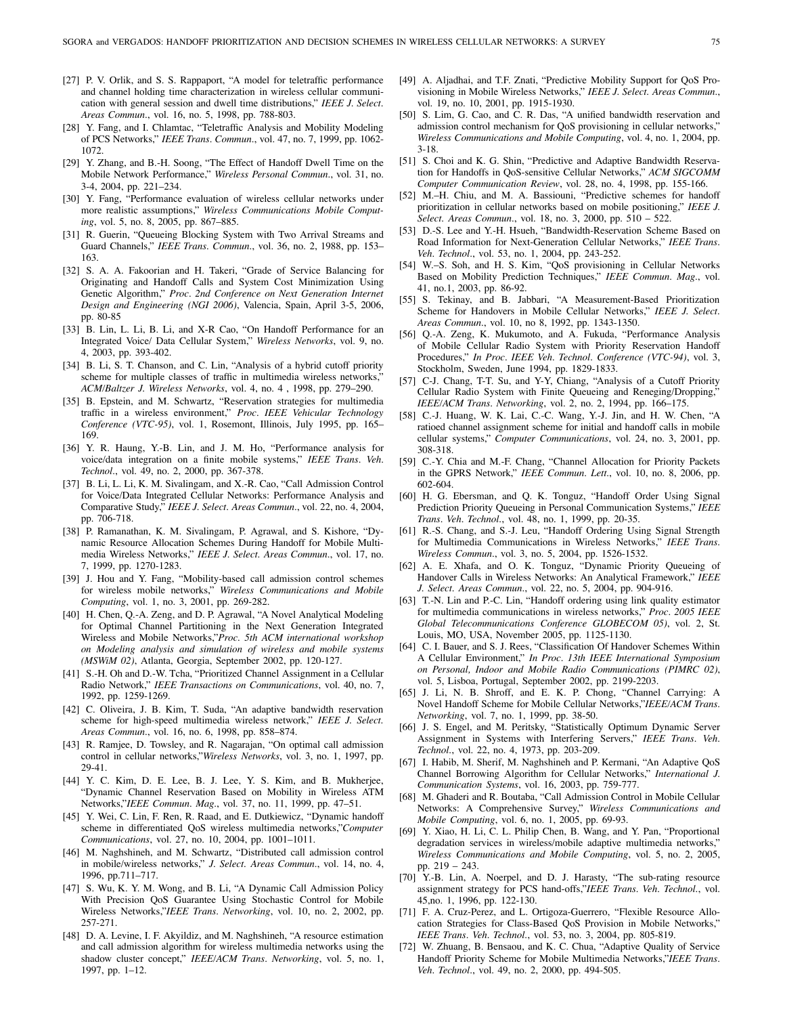- [27] P. V. Orlik, and S. S. Rappaport, "A model for teletraffic performance and channel holding time characterization in wireless cellular communication with general session and dwell time distributions," *IEEE J. Select. Areas Commun.*, vol. 16, no. 5, 1998, pp. 788-803.
- [28] Y. Fang, and I. Chlamtac, "Teletraffic Analysis and Mobility Modeling of PCS Networks," *IEEE Trans. Commun.*, vol. 47, no. 7, 1999, pp. 1062- 1072.
- [29] Y. Zhang, and B.-H. Soong, "The Effect of Handoff Dwell Time on the Mobile Network Performance," *Wireless Personal Commun.*, vol. 31, no. 3-4, 2004, pp. 221–234.
- [30] Y. Fang, "Performance evaluation of wireless cellular networks under more realistic assumptions," *Wireless Communications Mobile Computing*, vol. 5, no. 8, 2005, pp. 867–885.
- [31] R. Guerin, "Queueing Blocking System with Two Arrival Streams and Guard Channels," *IEEE Trans. Commun.*, vol. 36, no. 2, 1988, pp. 153– 163.
- [32] S. A. A. Fakoorian and H. Takeri, "Grade of Service Balancing for Originating and Handoff Calls and System Cost Minimization Using Genetic Algorithm," *Proc. 2nd Conference on Next Generation Internet Design and Engineering (NGI 2006)*, Valencia, Spain, April 3-5, 2006, pp. 80-85
- [33] B. Lin, L. Li, B. Li, and X-R Cao, "On Handoff Performance for an Integrated Voice/ Data Cellular System," *Wireless Networks*, vol. 9, no. 4, 2003, pp. 393-402.
- [34] B. Li, S. T. Chanson, and C. Lin, "Analysis of a hybrid cutoff priority scheme for multiple classes of traffic in multimedia wireless networks." *ACM/Baltzer J. Wireless Networks*, vol. 4, no. 4 , 1998, pp. 279–290.
- [35] B. Epstein, and M. Schwartz, "Reservation strategies for multimedia traffic in a wireless environment," *Proc. IEEE Vehicular Technology Conference (VTC-95)*, vol. 1, Rosemont, Illinois, July 1995, pp. 165– 169.
- [36] Y. R. Haung, Y.-B. Lin, and J. M. Ho, "Performance analysis for voice/data integration on a finite mobile systems," *IEEE Trans. Veh. Technol.*, vol. 49, no. 2, 2000, pp. 367-378.
- [37] B. Li, L. Li, K. M. Sivalingam, and X.-R. Cao, "Call Admission Control for Voice/Data Integrated Cellular Networks: Performance Analysis and Comparative Study," *IEEE J. Select. Areas Commun.*, vol. 22, no. 4, 2004, pp. 706-718.
- [38] P. Ramanathan, K. M. Sivalingam, P. Agrawal, and S. Kishore, "Dynamic Resource Allocation Schemes During Handoff for Mobile Multimedia Wireless Networks," *IEEE J. Select. Areas Commun.*, vol. 17, no. 7, 1999, pp. 1270-1283.
- [39] J. Hou and Y. Fang, "Mobility-based call admission control schemes for wireless mobile networks," *Wireless Communications and Mobile Computing*, vol. 1, no. 3, 2001, pp. 269-282.
- [40] H. Chen, Q.-A. Zeng, and D. P. Agrawal, "A Novel Analytical Modeling for Optimal Channel Partitioning in the Next Generation Integrated Wireless and Mobile Networks,"*Proc. 5th ACM international workshop on Modeling analysis and simulation of wireless and mobile systems (MSWiM 02)*, Atlanta, Georgia, September 2002, pp. 120-127.
- [41] S.-H. Oh and D.-W. Tcha, "Prioritized Channel Assignment in a Cellular Radio Network," *IEEE Transactions on Communications*, vol. 40, no. 7, 1992, pp. 1259-1269.
- [42] C. Oliveira, J. B. Kim, T. Suda, "An adaptive bandwidth reservation scheme for high-speed multimedia wireless network," *IEEE J. Select. Areas Commun.*, vol. 16, no. 6, 1998, pp. 858–874.
- [43] R. Ramjee, D. Towsley, and R. Nagarajan, "On optimal call admission control in cellular networks,"*Wireless Networks*, vol. 3, no. 1, 1997, pp. 29-41.
- [44] Y. C. Kim, D. E. Lee, B. J. Lee, Y. S. Kim, and B. Mukherjee, "Dynamic Channel Reservation Based on Mobility in Wireless ATM Networks,"*IEEE Commun. Mag.*, vol. 37, no. 11, 1999, pp. 47–51.
- [45] Y. Wei, C. Lin, F. Ren, R. Raad, and E. Dutkiewicz, "Dynamic handoff scheme in differentiated QoS wireless multimedia networks,"*Computer Communications*, vol. 27, no. 10, 2004, pp. 1001–1011.
- [46] M. Naghshineh, and M. Schwartz, "Distributed call admission control in mobile/wireless networks," *J. Select. Areas Commun.*, vol. 14, no. 4, 1996, pp.711–717.
- [47] S. Wu, K. Y. M. Wong, and B. Li, "A Dynamic Call Admission Policy With Precision QoS Guarantee Using Stochastic Control for Mobile Wireless Networks,"*IEEE Trans. Networking*, vol. 10, no. 2, 2002, pp. 257-271.
- [48] D. A. Levine, I. F. Akyildiz, and M. Naghshineh, "A resource estimation and call admission algorithm for wireless multimedia networks using the shadow cluster concept," *IEEE/ACM Trans. Networking*, vol. 5, no. 1, 1997, pp. 1–12.
- [49] A. Aljadhai, and T.F. Znati, "Predictive Mobility Support for QoS Provisioning in Mobile Wireless Networks," *IEEE J. Select. Areas Commun.*, vol. 19, no. 10, 2001, pp. 1915-1930.
- [50] S. Lim, G. Cao, and C. R. Das, "A unified bandwidth reservation and admission control mechanism for QoS provisioning in cellular networks," *Wireless Communications and Mobile Computing*, vol. 4, no. 1, 2004, pp. 3-18.
- [51] S. Choi and K. G. Shin, "Predictive and Adaptive Bandwidth Reservation for Handoffs in QoS-sensitive Cellular Networks," *ACM SIGCOMM Computer Communication Review*, vol. 28, no. 4, 1998, pp. 155-166.
- [52] M.–H. Chiu, and M. A. Bassiouni, "Predictive schemes for handoff prioritization in cellular networks based on mobile positioning," *IEEE J. Select. Areas Commun.*, vol. 18, no. 3, 2000, pp. 510 – 522.
- [53] D.-S. Lee and Y.-H. Hsueh, "Bandwidth-Reservation Scheme Based on Road Information for Next-Generation Cellular Networks," *IEEE Trans. Veh. Technol.*, vol. 53, no. 1, 2004, pp. 243-252.
- [54] W.–S. Soh, and H. S. Kim, "QoS provisioning in Cellular Networks Based on Mobility Prediction Techniques," *IEEE Commun. Mag.*, vol. 41, no.1, 2003, pp. 86-92.
- [55] S. Tekinay, and B. Jabbari, "A Measurement-Based Prioritization Scheme for Handovers in Mobile Cellular Networks," *IEEE J. Select. Areas Commun.*, vol. 10, no 8, 1992, pp. 1343-1350.
- [56] Q.-A. Zeng, K. Mukumoto, and A. Fukuda, "Performance Analysis of Mobile Cellular Radio System with Priority Reservation Handoff Procedures," *In Proc. IEEE Veh. Technol. Conference (VTC-94)*, vol. 3, Stockholm, Sweden, June 1994, pp. 1829-1833.
- [57] C-J. Chang, T-T. Su, and Y-Y, Chiang, "Analysis of a Cutoff Priority Cellular Radio System with Finite Queueing and Reneging/Dropping, *IEEE/ACM Trans. Networking*, vol. 2, no. 2, 1994, pp. 166–175.
- [58] C.-J. Huang, W. K. Lai, C.-C. Wang, Y.-J. Jin, and H. W. Chen, "A ratioed channel assignment scheme for initial and handoff calls in mobile cellular systems," *Computer Communications*, vol. 24, no. 3, 2001, pp. 308-318.
- [59] C.-Y. Chia and M.-F. Chang, "Channel Allocation for Priority Packets in the GPRS Network," *IEEE Commun. Lett.*, vol. 10, no. 8, 2006, pp. 602-604.
- [60] H. G. Ebersman, and Q. K. Tonguz, "Handoff Order Using Signal Prediction Priority Queueing in Personal Communication Systems," *IEEE Trans. Veh. Technol.*, vol. 48, no. 1, 1999, pp. 20-35.
- [61] R.-S. Chang, and S.-J. Leu, "Handoff Ordering Using Signal Strength for Multimedia Communications in Wireless Networks," *IEEE Trans. Wireless Commun.*, vol. 3, no. 5, 2004, pp. 1526-1532.
- [62] A. E. Xhafa, and O. K. Tonguz, "Dynamic Priority Queueing of Handover Calls in Wireless Networks: An Analytical Framework," *IEEE J. Select. Areas Commun.*, vol. 22, no. 5, 2004, pp. 904-916.
- [63] T.-N. Lin and P.-C. Lin, "Handoff ordering using link quality estimator for multimedia communications in wireless networks," *Proc. 2005 IEEE Global Telecommunications Conference GLOBECOM 05)*, vol. 2, St. Louis, MO, USA, November 2005, pp. 1125-1130.
- [64] C. I. Bauer, and S. J. Rees, "Classification Of Handover Schemes Within A Cellular Environment," *In Proc. 13th IEEE International Symposium on Personal, Indoor and Mobile Radio Communications (PIMRC 02)*, vol. 5, Lisboa, Portugal, September 2002, pp. 2199-2203.
- [65] J. Li, N. B. Shroff, and E. K. P. Chong, "Channel Carrying: A Novel Handoff Scheme for Mobile Cellular Networks,"*IEEE/ACM Trans. Networking*, vol. 7, no. 1, 1999, pp. 38-50.
- [66] J. S. Engel, and M. Peritsky, "Statistically Optimum Dynamic Server Assignment in Systems with Interfering Servers," *IEEE Trans. Veh. Technol.*, vol. 22, no. 4, 1973, pp. 203-209.
- [67] I. Habib, M. Sherif, M. Naghshineh and P. Kermani, "An Adaptive QoS Channel Borrowing Algorithm for Cellular Networks," *International J. Communication Systems*, vol. 16, 2003, pp. 759-777.
- [68] M. Ghaderi and R. Boutaba, "Call Admission Control in Mobile Cellular Networks: A Comprehensive Survey," *Wireless Communications and Mobile Computing*, vol. 6, no. 1, 2005, pp. 69-93.
- [69] Y. Xiao, H. Li, C. L. Philip Chen, B. Wang, and Y. Pan, "Proportional degradation services in wireless/mobile adaptive multimedia networks," *Wireless Communications and Mobile Computing*, vol. 5, no. 2, 2005, pp. 219 – 243.
- [70] Y.-B. Lin, A. Noerpel, and D. J. Harasty, "The sub-rating resource assignment strategy for PCS hand-offs,"*IEEE Trans. Veh. Technol.*, vol. 45,no. 1, 1996, pp. 122-130.
- [71] F. A. Cruz-Perez, and L. Ortigoza-Guerrero, "Flexible Resource Allocation Strategies for Class-Based QoS Provision in Mobile Networks," *IEEE Trans. Veh. Technol.*, vol. 53, no. 3, 2004, pp. 805-819.
- [72] W. Zhuang, B. Bensaou, and K. C. Chua, "Adaptive Quality of Service Handoff Priority Scheme for Mobile Multimedia Networks,"*IEEE Trans. Veh. Technol.*, vol. 49, no. 2, 2000, pp. 494-505.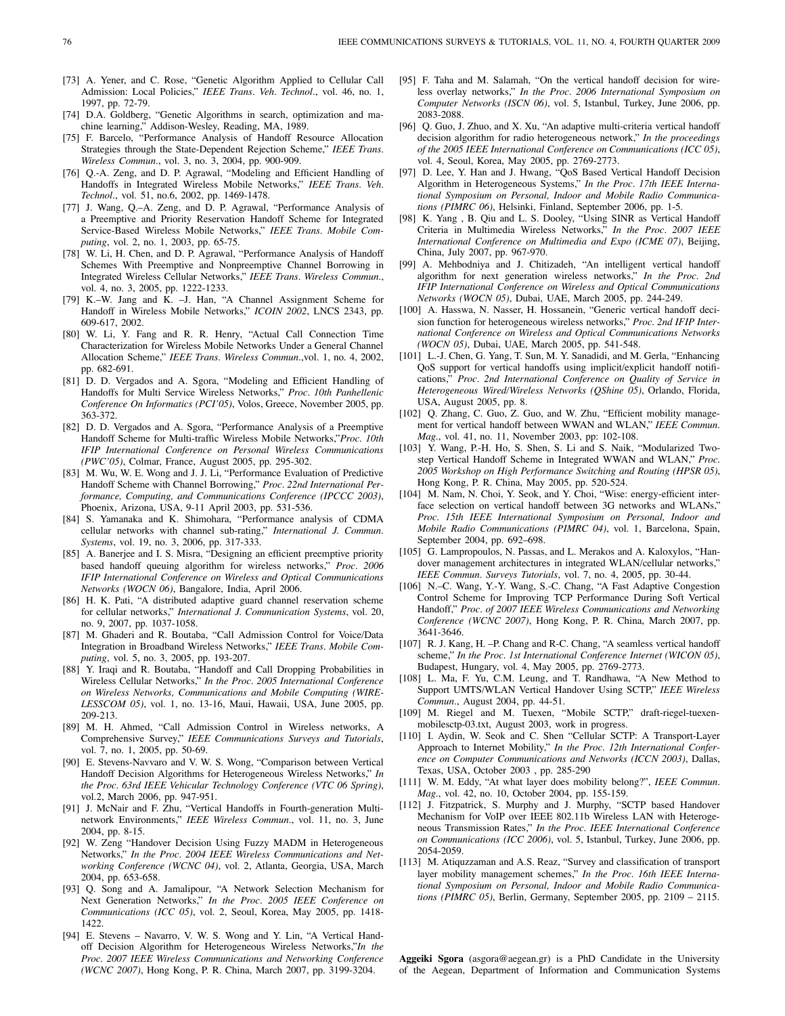- [74] D.A. Goldberg, "Genetic Algorithms in search, optimization and machine learning," Addison-Wesley, Reading, MA, 1989.
- [75] F. Barcelo, "Performance Analysis of Handoff Resource Allocation Strategies through the State-Dependent Rejection Scheme," *IEEE Trans. Wireless Commun.*, vol. 3, no. 3, 2004, pp. 900-909.
- [76] Q.-A. Zeng, and D. P. Agrawal, "Modeling and Efficient Handling of Handoffs in Integrated Wireless Mobile Networks," *IEEE Trans. Veh. Technol.*, vol. 51, no.6, 2002, pp. 1469-1478.
- [77] J. Wang, Q.–A. Zeng, and D. P. Agrawal, "Performance Analysis of a Preemptive and Priority Reservation Handoff Scheme for Integrated Service-Based Wireless Mobile Networks," *IEEE Trans. Mobile Computing*, vol. 2, no. 1, 2003, pp. 65-75.
- [78] W. Li, H. Chen, and D. P. Agrawal, "Performance Analysis of Handoff Schemes With Preemptive and Nonpreemptive Channel Borrowing in Integrated Wireless Cellular Networks," *IEEE Trans. Wireless Commun.*, vol. 4, no. 3, 2005, pp. 1222-1233.
- [79] K.–W. Jang and K. –J. Han, "A Channel Assignment Scheme for Handoff in Wireless Mobile Networks," *ICOIN 2002*, LNCS 2343, pp. 609-617, 2002.
- [80] W. Li, Y. Fang and R. R. Henry, "Actual Call Connection Time Characterization for Wireless Mobile Networks Under a General Channel Allocation Scheme," *IEEE Trans. Wireless Commun.*,vol. 1, no. 4, 2002, pp. 682-691.
- [81] D. D. Vergados and A. Sgora, "Modeling and Efficient Handling of Handoffs for Multi Service Wireless Networks," *Proc. 10th Panhellenic Conference On Informatics (PCI'05)*, Volos, Greece, November 2005, pp. 363-372.
- [82] D. D. Vergados and A. Sgora, "Performance Analysis of a Preemptive Handoff Scheme for Multi-traffic Wireless Mobile Networks,"*Proc. 10th IFIP International Conference on Personal Wireless Communications (PWC'05)*, Colmar, France, August 2005, pp. 295-302.
- [83] M. Wu, W. E. Wong and J. J. Li, "Performance Evaluation of Predictive Handoff Scheme with Channel Borrowing," *Proc. 22nd International Performance, Computing, and Communications Conference (IPCCC 2003)*, Phoenix, Arizona, USA, 9-11 April 2003, pp. 531-536.
- [84] S. Yamanaka and K. Shimohara, "Performance analysis of CDMA cellular networks with channel sub-rating," *International J. Commun. Systems*, vol. 19, no. 3, 2006, pp. 317-333.
- [85] A. Banerjee and I. S. Misra, "Designing an efficient preemptive priority based handoff queuing algorithm for wireless networks," *Proc. 2006 IFIP International Conference on Wireless and Optical Communications Networks (WOCN 06)*, Bangalore, India, April 2006.
- [86] H. K. Pati, "A distributed adaptive guard channel reservation scheme for cellular networks," *International J. Communication Systems*, vol. 20, no. 9, 2007, pp. 1037-1058.
- [87] M. Ghaderi and R. Boutaba, "Call Admission Control for Voice/Data Integration in Broadband Wireless Networks," *IEEE Trans. Mobile Computing*, vol. 5, no. 3, 2005, pp. 193-207.
- [88] Y. Iraqi and R. Boutaba, "Handoff and Call Dropping Probabilities in Wireless Cellular Networks," *In the Proc. 2005 International Conference on Wireless Networks, Communications and Mobile Computing (WIRE-LESSCOM 05)*, vol. 1, no. 13-16, Maui, Hawaii, USA, June 2005, pp. 209-213.
- [89] M. H. Ahmed, "Call Admission Control in Wireless networks, A Comprehensive Survey," *IEEE Communications Surveys and Tutorials*, vol. 7, no. 1, 2005, pp. 50-69.
- [90] E. Stevens-Navvaro and V. W. S. Wong, "Comparison between Vertical Handoff Decision Algorithms for Heterogeneous Wireless Networks," *In the Proc. 63rd IEEE Vehicular Technology Conference (VTC 06 Spring)*, vol.2, March 2006, pp. 947-951.
- [91] J. McNair and F. Zhu, "Vertical Handoffs in Fourth-generation Multinetwork Environments," *IEEE Wireless Commun.*, vol. 11, no. 3, June 2004, pp. 8-15.
- [92] W. Zeng "Handover Decision Using Fuzzy MADM in Heterogeneous Networks," *In the Proc. 2004 IEEE Wireless Communications and Networking Conference (WCNC 04)*, vol. 2, Atlanta, Georgia, USA, March 2004, pp. 653-658.
- [93] Q. Song and A. Jamalipour, "A Network Selection Mechanism for Next Generation Networks," *In the Proc. 2005 IEEE Conference on Communications (ICC 05)*, vol. 2, Seoul, Korea, May 2005, pp. 1418- 1422.
- [94] E. Stevens Navarro, V. W. S. Wong and Y. Lin, "A Vertical Handoff Decision Algorithm for Heterogeneous Wireless Networks,"*In the Proc. 2007 IEEE Wireless Communications and Networking Conference (WCNC 2007)*, Hong Kong, P. R. China, March 2007, pp. 3199-3204.
- [95] F. Taha and M. Salamah, "On the vertical handoff decision for wireless overlay networks," *In the Proc. 2006 International Symposium on Computer Networks (ISCN 06)*, vol. 5, Istanbul, Turkey, June 2006, pp. 2083-2088.
- [96] Q. Guo, J. Zhuo, and X. Xu, "An adaptive multi-criteria vertical handoff decision algorithm for radio heterogeneous network," *In the proceedings of the 2005 IEEE International Conference on Communications (ICC 05)*, vol. 4, Seoul, Korea, May 2005, pp. 2769-2773.
- [97] D. Lee, Y. Han and J. Hwang, "QoS Based Vertical Handoff Decision Algorithm in Heterogeneous Systems," *In the Proc. 17th IEEE International Symposium on Personal, Indoor and Mobile Radio Communications (PIMRC 06)*, Helsinki, Finland, September 2006, pp. 1-5.
- [98] K. Yang , B. Qiu and L. S. Dooley, "Using SINR as Vertical Handoff Criteria in Multimedia Wireless Networks," *In the Proc. 2007 IEEE International Conference on Multimedia and Expo (ICME 07)*, Beijing, China, July 2007, pp. 967-970.
- [99] A. Mehbodniya and J. Chitizadeh, "An intelligent vertical handoff algorithm for next generation wireless networks," *In the Proc. 2nd IFIP International Conference on Wireless and Optical Communications Networks (WOCN 05)*, Dubai, UAE, March 2005, pp. 244-249.
- [100] A. Hasswa, N. Nasser, H. Hossanein, "Generic vertical handoff decision function for heterogeneous wireless networks," *Proc. 2nd IFIP International Conference on Wireless and Optical Communications Networks (WOCN 05)*, Dubai, UAE, March 2005, pp. 541-548.
- [101] L.-J. Chen, G. Yang, T. Sun, M. Y. Sanadidi, and M. Gerla, "Enhancing QoS support for vertical handoffs using implicit/explicit handoff notifications," *Proc. 2nd International Conference on Quality of Service in Heterogeneous Wired/Wireless Networks (QShine 05)*, Orlando, Florida, USA, August 2005, pp. 8.
- [102] O. Zhang, C. Guo, Z. Guo, and W. Zhu, "Efficient mobility management for vertical handoff between WWAN and WLAN," *IEEE Commun. Mag.*, vol. 41, no. 11, November 2003, pp: 102-108.
- [103] Y. Wang, P.-H. Ho, S. Shen, S. Li and S. Naik, "Modularized Twostep Vertical Handoff Scheme in Integrated WWAN and WLAN," *Proc. 2005 Workshop on High Performance Switching and Routing (HPSR 05)*, Hong Kong, P. R. China, May 2005, pp. 520-524.
- [104] M. Nam, N. Choi, Y. Seok, and Y. Choi, "Wise: energy-efficient interface selection on vertical handoff between 3G networks and WLANs," *Proc. 15th IEEE International Symposium on Personal, Indoor and Mobile Radio Communications (PIMRC 04)*, vol. 1, Barcelona, Spain, September 2004, pp. 692–698.
- [105] G. Lampropoulos, N. Passas, and L. Merakos and A. Kaloxylos, "Handover management architectures in integrated WLAN/cellular networks," *IEEE Commun. Surveys Tutorials*, vol. 7, no. 4, 2005, pp. 30-44.
- [106] N.–C. Wang, Y.-Y. Wang, S.-C. Chang, "A Fast Adaptive Congestion Control Scheme for Improving TCP Performance During Soft Vertical Handoff," *Proc. of 2007 IEEE Wireless Communications and Networking Conference (WCNC 2007)*, Hong Kong, P. R. China, March 2007, pp. 3641-3646.
- [107] R. J. Kang, H. -P. Chang and R-C. Chang, "A seamless vertical handoff scheme," *In the Proc. 1st International Conference Internet (WICON 05)*, Budapest, Hungary, vol. 4, May 2005, pp. 2769-2773.
- [108] L. Ma, F. Yu, C.M. Leung, and T. Randhawa, "A New Method to Support UMTS/WLAN Vertical Handover Using SCTP," *IEEE Wireless Commun.*, August 2004, pp. 44-51.
- [109] M. Riegel and M. Tuexen, "Mobile SCTP," draft-riegel-tuexenmobilesctp-03.txt, August 2003, work in progress.
- [110] I. Aydin, W. Seok and C. Shen "Cellular SCTP: A Transport-Layer Approach to Internet Mobility," *In the Proc. 12th International Conference on Computer Communications and Networks (ICCN 2003)*, Dallas, Texas, USA, October 2003 , pp. 285-290
- [111] W. M. Eddy, "At what layer does mobility belong?", *IEEE Commun. Mag.*, vol. 42, no. 10, October 2004, pp. 155-159.
- [112] J. Fitzpatrick, S. Murphy and J. Murphy, "SCTP based Handover Mechanism for VoIP over IEEE 802.11b Wireless LAN with Heterogeneous Transmission Rates," *In the Proc. IEEE International Conference on Communications (ICC 2006)*, vol. 5, Istanbul, Turkey, June 2006, pp. 2054-2059.
- [113] M. Atiquzzaman and A.S. Reaz, "Survey and classification of transport layer mobility management schemes," *In the Proc. 16th IEEE International Symposium on Personal, Indoor and Mobile Radio Communications (PIMRC 05)*, Berlin, Germany, September 2005, pp. 2109 – 2115.